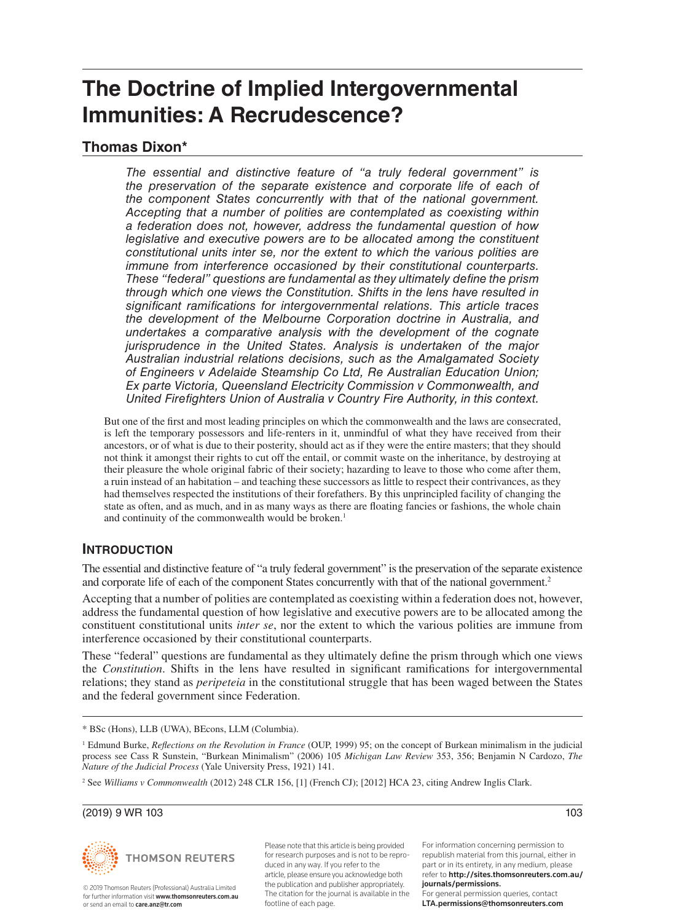# **The Doctrine of Implied Intergovernmental Immunities: A Recrudescence?**

### **Thomas Dixon\***

*The essential and distinctive feature of "a truly federal government" is the preservation of the separate existence and corporate life of each of the component States concurrently with that of the national government. Accepting that a number of polities are contemplated as coexisting within a federation does not, however, address the fundamental question of how legislative and executive powers are to be allocated among the constituent constitutional units inter se, nor the extent to which the various polities are immune from interference occasioned by their constitutional counterparts. These "federal" questions are fundamental as they ultimately define the prism through which one views the Constitution. Shifts in the lens have resulted in significant ramifications for intergovernmental relations. This article traces the development of the Melbourne Corporation doctrine in Australia, and undertakes a comparative analysis with the development of the cognate jurisprudence in the United States. Analysis is undertaken of the major Australian industrial relations decisions, such as the Amalgamated Society of Engineers v Adelaide Steamship Co Ltd, Re Australian Education Union; Ex parte Victoria, Queensland Electricity Commission v Commonwealth, and United Firefighters Union of Australia v Country Fire Authority, in this context.* 

But one of the first and most leading principles on which the commonwealth and the laws are consecrated, is left the temporary possessors and life-renters in it, unmindful of what they have received from their ancestors, or of what is due to their posterity, should act as if they were the entire masters; that they should not think it amongst their rights to cut off the entail, or commit waste on the inheritance, by destroying at their pleasure the whole original fabric of their society; hazarding to leave to those who come after them, a ruin instead of an habitation – and teaching these successors as little to respect their contrivances, as they had themselves respected the institutions of their forefathers. By this unprincipled facility of changing the state as often, and as much, and in as many ways as there are floating fancies or fashions, the whole chain and continuity of the commonwealth would be broken.<sup>1</sup>

#### **INTRODUCTION**

The essential and distinctive feature of "a truly federal government" is the preservation of the separate existence and corporate life of each of the component States concurrently with that of the national government.<sup>2</sup>

Accepting that a number of polities are contemplated as coexisting within a federation does not, however, address the fundamental question of how legislative and executive powers are to be allocated among the constituent constitutional units *inter se*, nor the extent to which the various polities are immune from interference occasioned by their constitutional counterparts.

These "federal" questions are fundamental as they ultimately define the prism through which one views the *Constitution*. Shifts in the lens have resulted in significant ramifications for intergovernmental relations; they stand as *peripeteia* in the constitutional struggle that has been waged between the States and the federal government since Federation.

(2019) 9 WR 103 103



© 2019 Thomson Reuters (Professional) Australia Limited for further information visit www.thomsonreuters.com.au. or send an email to care.anz@tr.com

Please note that this article is being provided for research purposes and is not to be reproduced in any way. If you refer to the article, please ensure you acknowledge both the publication and publisher appropriately. The citation for the journal is available in the footline of each page.

For information concerning permission to republish material from this journal, either in part or in its entirety, in any medium, please refer to http://sites.thomsonreuters.com.au/ journals/permissions. For general permission queries, contact LTA.permissions@thomsonreuters.com



<sup>\*</sup> BSc (Hons), LLB (UWA), BEcons, LLM (Columbia).

<sup>1</sup> Edmund Burke, *Reflections on the Revolution in France* (OUP, 1999) 95; on the concept of Burkean minimalism in the judicial process see Cass R Sunstein, "Burkean Minimalism" (2006) 105 *Michigan Law Review* 353, 356; Benjamin N Cardozo, *The Nature of the Judicial Process* (Yale University Press, 1921) 141.

<sup>2</sup> See *Williams v Commonwealth* (2012) 248 CLR 156, [1] (French CJ); [2012] HCA 23, citing Andrew Inglis Clark.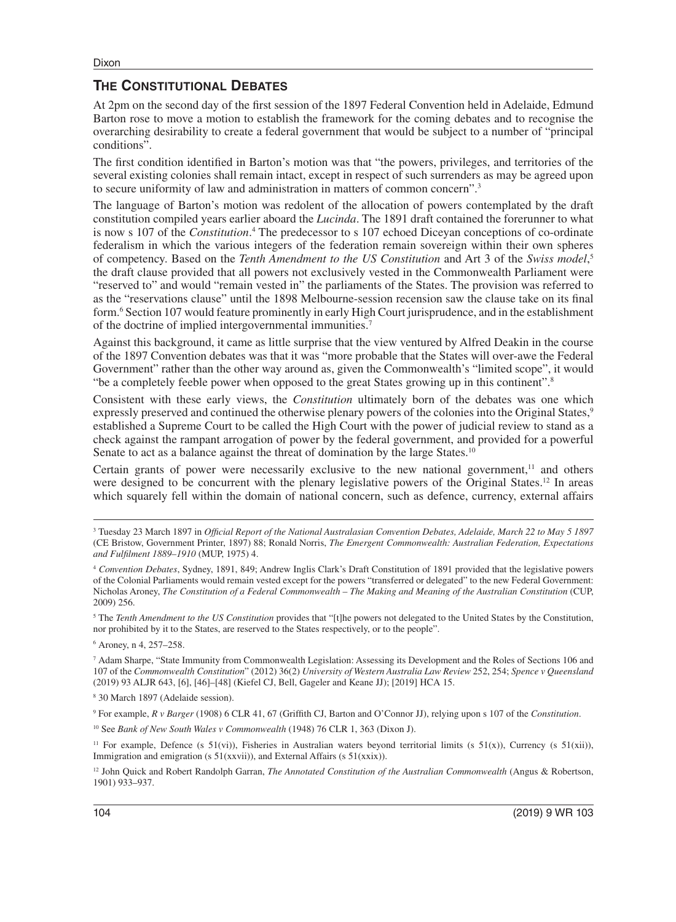#### **THE CONSTITUTIONAL DEBATES**

At 2pm on the second day of the first session of the 1897 Federal Convention held in Adelaide, Edmund Barton rose to move a motion to establish the framework for the coming debates and to recognise the overarching desirability to create a federal government that would be subject to a number of "principal conditions".

The first condition identified in Barton's motion was that "the powers, privileges, and territories of the several existing colonies shall remain intact, except in respect of such surrenders as may be agreed upon to secure uniformity of law and administration in matters of common concern".3

The language of Barton's motion was redolent of the allocation of powers contemplated by the draft constitution compiled years earlier aboard the *Lucinda*. The 1891 draft contained the forerunner to what is now s 107 of the *Constitution*. 4 The predecessor to s 107 echoed Diceyan conceptions of co-ordinate federalism in which the various integers of the federation remain sovereign within their own spheres of competency. Based on the *Tenth Amendment to the US Constitution* and Art 3 of the *Swiss model*, 5 the draft clause provided that all powers not exclusively vested in the Commonwealth Parliament were "reserved to" and would "remain vested in" the parliaments of the States. The provision was referred to as the "reservations clause" until the 1898 Melbourne-session recension saw the clause take on its final form.<sup>6</sup> Section 107 would feature prominently in early High Court jurisprudence, and in the establishment of the doctrine of implied intergovernmental immunities.7

Against this background, it came as little surprise that the view ventured by Alfred Deakin in the course of the 1897 Convention debates was that it was "more probable that the States will over-awe the Federal Government" rather than the other way around as, given the Commonwealth's "limited scope", it would "be a completely feeble power when opposed to the great States growing up in this continent".8

Consistent with these early views, the *Constitution* ultimately born of the debates was one which expressly preserved and continued the otherwise plenary powers of the colonies into the Original States,<sup>9</sup> established a Supreme Court to be called the High Court with the power of judicial review to stand as a check against the rampant arrogation of power by the federal government, and provided for a powerful Senate to act as a balance against the threat of domination by the large States.<sup>10</sup>

Certain grants of power were necessarily exclusive to the new national government, $11$  and others were designed to be concurrent with the plenary legislative powers of the Original States.<sup>12</sup> In areas which squarely fell within the domain of national concern, such as defence, currency, external affairs

<sup>5</sup> The *Tenth Amendment to the US Constitution* provides that "[t]he powers not delegated to the United States by the Constitution, nor prohibited by it to the States, are reserved to the States respectively, or to the people".

6 Aroney, n 4, 257–258.

7 Adam Sharpe, "State Immunity from Commonwealth Legislation: Assessing its Development and the Roles of Sections 106 and 107 of the *Commonwealth Constitution*" (2012) 36(2) *University of Western Australia Law Review* 252, 254; *Spence v Queensland* (2019) 93 ALJR 643, [6], [46]–[48] (Kiefel CJ, Bell, Gageler and Keane JJ); [2019] HCA 15.

8 30 March 1897 (Adelaide session).

9 For example, *R v Barger* (1908) 6 CLR 41, 67 (Griffith CJ, Barton and O'Connor JJ), relying upon s 107 of the *Constitution*.

10 See *Bank of New South Wales v Commonwealth* (1948) 76 CLR 1, 363 (Dixon J).

<sup>11</sup> For example, Defence (s 51(vi)), Fisheries in Australian waters beyond territorial limits (s 51(x)), Currency (s 51(xii)), Immigration and emigration (s 51(xxvii)), and External Affairs (s 51(xxix)).

<sup>12</sup> John Quick and Robert Randolph Garran, *The Annotated Constitution of the Australian Commonwealth* (Angus & Robertson, 1901) 933–937.

<sup>3</sup> Tuesday 23 March 1897 in *Official Report of the National Australasian Convention Debates, Adelaide, March 22 to May 5 1897* (CE Bristow, Government Printer, 1897) 88; Ronald Norris, *The Emergent Commonwealth: Australian Federation, Expectations and Fulfilment 1889–1910* (MUP, 1975) 4.

<sup>4</sup> *Convention Debates*, Sydney, 1891, 849; Andrew Inglis Clark's Draft Constitution of 1891 provided that the legislative powers of the Colonial Parliaments would remain vested except for the powers "transferred or delegated" to the new Federal Government: Nicholas Aroney, *The Constitution of a Federal Commonwealth – The Making and Meaning of the Australian Constitution* (CUP, 2009) 256.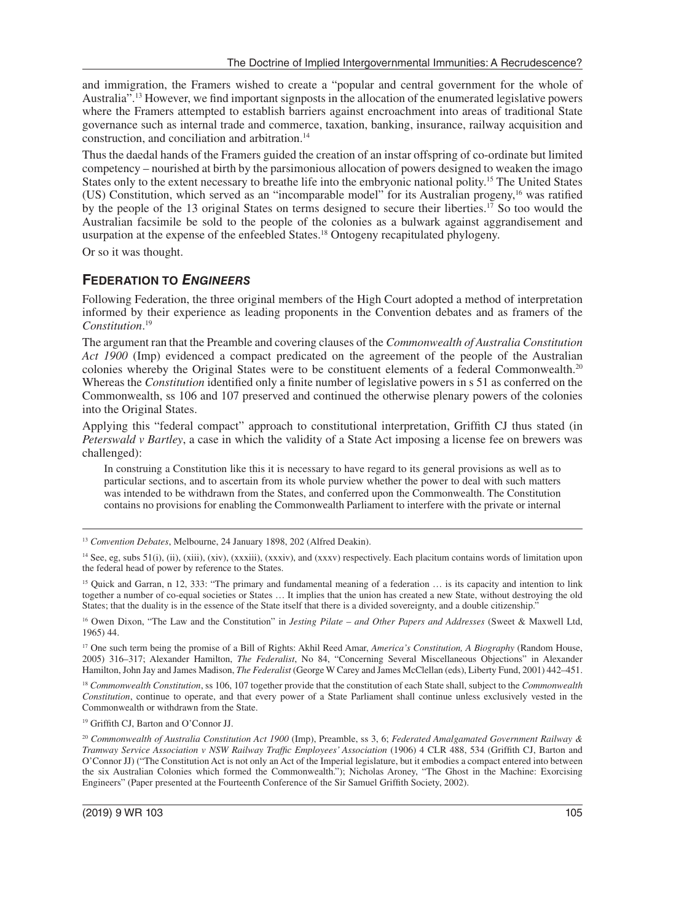and immigration, the Framers wished to create a "popular and central government for the whole of Australia".<sup>13</sup> However, we find important signposts in the allocation of the enumerated legislative powers where the Framers attempted to establish barriers against encroachment into areas of traditional State governance such as internal trade and commerce, taxation, banking, insurance, railway acquisition and construction, and conciliation and arbitration.14

Thus the daedal hands of the Framers guided the creation of an instar offspring of co-ordinate but limited competency – nourished at birth by the parsimonious allocation of powers designed to weaken the imago States only to the extent necessary to breathe life into the embryonic national polity.15 The United States (US) Constitution, which served as an "incomparable model" for its Australian progeny,16 was ratified by the people of the 13 original States on terms designed to secure their liberties.<sup>17</sup> So too would the Australian facsimile be sold to the people of the colonies as a bulwark against aggrandisement and usurpation at the expense of the enfeebled States.<sup>18</sup> Ontogeny recapitulated phylogeny.

Or so it was thought.

#### **FEDERATION TO** *ENGINEERS*

Following Federation, the three original members of the High Court adopted a method of interpretation informed by their experience as leading proponents in the Convention debates and as framers of the *Constitution*. 19

The argument ran that the Preamble and covering clauses of the *Commonwealth of Australia Constitution Act 1900* (Imp) evidenced a compact predicated on the agreement of the people of the Australian colonies whereby the Original States were to be constituent elements of a federal Commonwealth.20 Whereas the *Constitution* identified only a finite number of legislative powers in s 51 as conferred on the Commonwealth, ss 106 and 107 preserved and continued the otherwise plenary powers of the colonies into the Original States.

Applying this "federal compact" approach to constitutional interpretation, Griffith CJ thus stated (in *Peterswald v Bartley*, a case in which the validity of a State Act imposing a license fee on brewers was challenged):

In construing a Constitution like this it is necessary to have regard to its general provisions as well as to particular sections, and to ascertain from its whole purview whether the power to deal with such matters was intended to be withdrawn from the States, and conferred upon the Commonwealth. The Constitution contains no provisions for enabling the Commonwealth Parliament to interfere with the private or internal

17 One such term being the promise of a Bill of Rights: Akhil Reed Amar, *America's Constitution, A Biography* (Random House, 2005) 316–317; Alexander Hamilton, *The Federalist*, No 84, "Concerning Several Miscellaneous Objections" in Alexander Hamilton, John Jay and James Madison, *The Federalist* (George W Carey and James McClellan (eds), Liberty Fund, 2001) 442–451.

<sup>18</sup> *Commonwealth Constitution*, ss 106, 107 together provide that the constitution of each State shall, subject to the *Commonwealth Constitution*, continue to operate, and that every power of a State Parliament shall continue unless exclusively vested in the Commonwealth or withdrawn from the State.

19 Griffith CJ, Barton and O'Connor JJ.

<sup>13</sup> *Convention Debates*, Melbourne, 24 January 1898, 202 (Alfred Deakin).

<sup>&</sup>lt;sup>14</sup> See, eg, subs 51(i), (ii), (xiii), (xiv), (xxxiii), (xxxiv), and (xxxv) respectively. Each placitum contains words of limitation upon the federal head of power by reference to the States.

<sup>&</sup>lt;sup>15</sup> Quick and Garran, n 12, 333: "The primary and fundamental meaning of a federation ... is its capacity and intention to link together a number of co-equal societies or States … It implies that the union has created a new State, without destroying the old States; that the duality is in the essence of the State itself that there is a divided sovereignty, and a double citizenship."

<sup>16</sup> Owen Dixon, "The Law and the Constitution" in *Jesting Pilate – and Other Papers and Addresses* (Sweet & Maxwell Ltd, 1965) 44.

<sup>20</sup> *Commonwealth of Australia Constitution Act 1900* (Imp), Preamble, ss 3, 6; *Federated Amalgamated Government Railway & Tramway Service Association v NSW Railway Traffic Employees' Association* (1906) 4 CLR 488, 534 (Griffith CJ, Barton and O'Connor JJ) ("The Constitution Act is not only an Act of the Imperial legislature, but it embodies a compact entered into between the six Australian Colonies which formed the Commonwealth."); Nicholas Aroney, "The Ghost in the Machine: Exorcising Engineers" (Paper presented at the Fourteenth Conference of the Sir Samuel Griffith Society, 2002).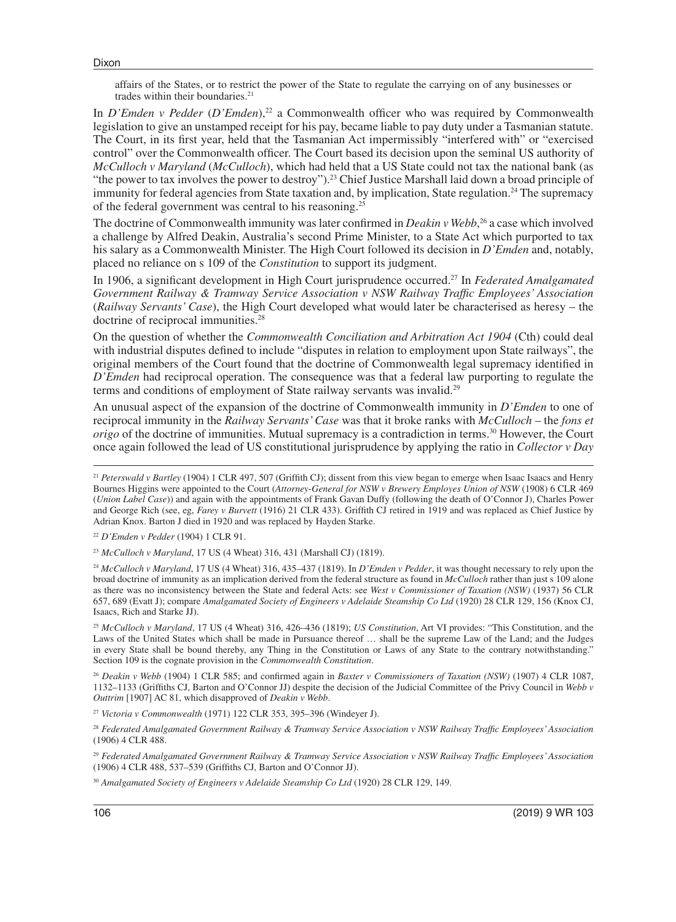affairs of the States, or to restrict the power of the State to regulate the carrying on of any businesses or trades within their boundaries.<sup>21</sup>

In *D'Emden v Pedder* (*D'Emden*),<sup>22</sup> a Commonwealth officer who was required by Commonwealth legislation to give an unstamped receipt for his pay, became liable to pay duty under a Tasmanian statute. The Court, in its first year, held that the Tasmanian Act impermissibly "interfered with" or "exercised control" over the Commonwealth officer. The Court based its decision upon the seminal US authority of *McCulloch v Maryland* (*McCulloch*), which had held that a US State could not tax the national bank (as "the power to tax involves the power to destroy").<sup>23</sup> Chief Justice Marshall laid down a broad principle of immunity for federal agencies from State taxation and, by implication, State regulation.<sup>24</sup> The supremacy of the federal government was central to his reasoning.<sup>25</sup>

The doctrine of Commonwealth immunity was later confirmed in *Deakin v Webb*, 26 a case which involved a challenge by Alfred Deakin, Australia's second Prime Minister, to a State Act which purported to tax his salary as a Commonwealth Minister. The High Court followed its decision in *D'Emden* and, notably, placed no reliance on s 109 of the *Constitution* to support its judgment.

In 1906, a significant development in High Court jurisprudence occurred.27 In *Federated Amalgamated Government Railway & Tramway Service Association v NSW Railway Traffic Employees' Association* (*Railway Servants' Case*), the High Court developed what would later be characterised as heresy – the doctrine of reciprocal immunities.<sup>28</sup>

On the question of whether the *Commonwealth Conciliation and Arbitration Act 1904* (Cth) could deal with industrial disputes defined to include "disputes in relation to employment upon State railways", the original members of the Court found that the doctrine of Commonwealth legal supremacy identified in *D'Emden* had reciprocal operation. The consequence was that a federal law purporting to regulate the terms and conditions of employment of State railway servants was invalid.<sup>29</sup>

An unusual aspect of the expansion of the doctrine of Commonwealth immunity in *D'Emden* to one of reciprocal immunity in the *Railway Servants' Case* was that it broke ranks with *McCulloch* – the *fons et origo* of the doctrine of immunities. Mutual supremacy is a contradiction in terms.<sup>30</sup> However, the Court once again followed the lead of US constitutional jurisprudence by applying the ratio in *Collector v Day*

<sup>22</sup> *D'Emden v Pedder* (1904) 1 CLR 91.

<sup>23</sup> *McCulloch v Maryland*, 17 US (4 Wheat) 316, 431 (Marshall CJ) (1819).

<sup>24</sup> *McCulloch v Maryland*, 17 US (4 Wheat) 316, 435–437 (1819). In *D'Emden v Pedder*, it was thought necessary to rely upon the broad doctrine of immunity as an implication derived from the federal structure as found in *McCulloch* rather than just s 109 alone as there was no inconsistency between the State and federal Acts: see *West v Commissioner of Taxation (NSW)* (1937) 56 CLR 657, 689 (Evatt J); compare *Amalgamated Society of Engineers v Adelaide Steamship Co Ltd* (1920) 28 CLR 129, 156 (Knox CJ, Isaacs, Rich and Starke JJ).

<sup>25</sup> *McCulloch v Maryland*, 17 US (4 Wheat) 316, 426–436 (1819); *US Constitution*, Art VI provides: "This Constitution, and the Laws of the United States which shall be made in Pursuance thereof … shall be the supreme Law of the Land; and the Judges in every State shall be bound thereby, any Thing in the Constitution or Laws of any State to the contrary notwithstanding." Section 109 is the cognate provision in the *Commonwealth Constitution*.

<sup>26</sup> *Deakin v Webb* (1904) 1 CLR 585; and confirmed again in *Baxter v Commissioners of Taxation (NSW)* (1907) 4 CLR 1087, 1132–1133 (Griffiths CJ, Barton and O'Connor JJ) despite the decision of the Judicial Committee of the Privy Council in *Webb v Outtrim* [1907] AC 81, which disapproved of *Deakin v Webb*.

<sup>27</sup> *Victoria v Commonwealth* (1971) 122 CLR 353, 395–396 (Windeyer J).

<sup>28</sup> *Federated Amalgamated Government Railway & Tramway Service Association v NSW Railway Traffic Employees' Association* (1906) 4 CLR 488.

<sup>29</sup> *Federated Amalgamated Government Railway & Tramway Service Association v NSW Railway Traffic Employees' Association* (1906) 4 CLR 488, 537–539 (Griffiths CJ, Barton and O'Connor JJ).

<sup>30</sup> *Amalgamated Society of Engineers v Adelaide Steamship Co Ltd* (1920) 28 CLR 129, 149.

<sup>&</sup>lt;sup>21</sup> Peterswald v Bartley (1904) 1 CLR 497, 507 (Griffith CJ); dissent from this view began to emerge when Isaac Isaacs and Henry Bournes Higgins were appointed to the Court (*Attorney-General for NSW v Brewery Employes Union of NSW* (1908) 6 CLR 469 (*Union Label Case*)) and again with the appointments of Frank Gavan Duffy (following the death of O'Connor J), Charles Power and George Rich (see, eg, *Farey v Burvett* (1916) 21 CLR 433). Griffith CJ retired in 1919 and was replaced as Chief Justice by Adrian Knox. Barton J died in 1920 and was replaced by Hayden Starke.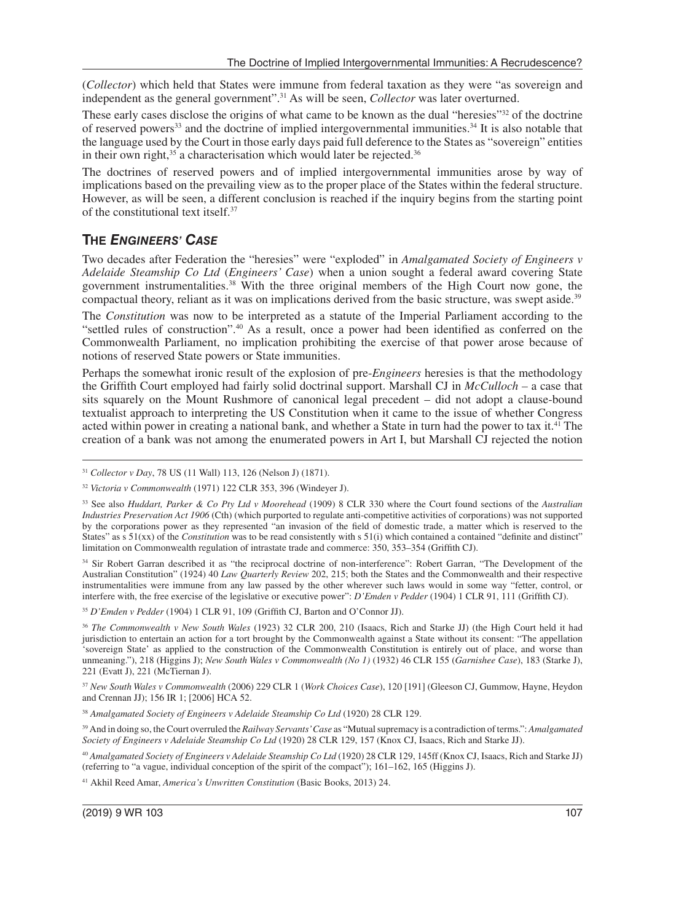(*Collector*) which held that States were immune from federal taxation as they were "as sovereign and independent as the general government".31 As will be seen, *Collector* was later overturned.

These early cases disclose the origins of what came to be known as the dual "heresies"<sup>32</sup> of the doctrine of reserved powers<sup>33</sup> and the doctrine of implied intergovernmental immunities.<sup>34</sup> It is also notable that the language used by the Court in those early days paid full deference to the States as "sovereign" entities in their own right, $35$  a characterisation which would later be rejected. $36$ 

The doctrines of reserved powers and of implied intergovernmental immunities arose by way of implications based on the prevailing view as to the proper place of the States within the federal structure. However, as will be seen, a different conclusion is reached if the inquiry begins from the starting point of the constitutional text itself.37

#### **THE** *ENGINEERS' CASE*

Two decades after Federation the "heresies" were "exploded" in *Amalgamated Society of Engineers v Adelaide Steamship Co Ltd* (*Engineers' Case*) when a union sought a federal award covering State government instrumentalities.38 With the three original members of the High Court now gone, the compactual theory, reliant as it was on implications derived from the basic structure, was swept aside.<sup>39</sup>

The *Constitution* was now to be interpreted as a statute of the Imperial Parliament according to the "settled rules of construction".40 As a result, once a power had been identified as conferred on the Commonwealth Parliament, no implication prohibiting the exercise of that power arose because of notions of reserved State powers or State immunities.

Perhaps the somewhat ironic result of the explosion of pre-*Engineers* heresies is that the methodology the Griffith Court employed had fairly solid doctrinal support. Marshall CJ in *McCulloch –* a case that sits squarely on the Mount Rushmore of canonical legal precedent – did not adopt a clause-bound textualist approach to interpreting the US Constitution when it came to the issue of whether Congress acted within power in creating a national bank, and whether a State in turn had the power to tax it.<sup>41</sup> The creation of a bank was not among the enumerated powers in Art I, but Marshall CJ rejected the notion

34 Sir Robert Garran described it as "the reciprocal doctrine of non-interference": Robert Garran, "The Development of the Australian Constitution" (1924) 40 *Law Quarterly Review* 202, 215; both the States and the Commonwealth and their respective instrumentalities were immune from any law passed by the other wherever such laws would in some way "fetter, control, or interfere with, the free exercise of the legislative or executive power": *D'Emden v Pedder* (1904) 1 CLR 91, 111 (Griffith CJ).

<sup>35</sup> *D'Emden v Pedder* (1904) 1 CLR 91, 109 (Griffith CJ, Barton and O'Connor JJ).

<sup>36</sup> *The Commonwealth v New South Wales* (1923) 32 CLR 200, 210 (Isaacs, Rich and Starke JJ) (the High Court held it had jurisdiction to entertain an action for a tort brought by the Commonwealth against a State without its consent: "The appellation 'sovereign State' as applied to the construction of the Commonwealth Constitution is entirely out of place, and worse than unmeaning."), 218 (Higgins J); *New South Wales v Commonwealth (No 1)* (1932) 46 CLR 155 (*Garnishee Case*), 183 (Starke J), 221 (Evatt J), 221 (McTiernan J).

<sup>37</sup> *New South Wales v Commonwealth* (2006) 229 CLR 1 (*Work Choices Case*), 120 [191] (Gleeson CJ, Gummow, Hayne, Heydon and Crennan JJ); 156 IR 1; [2006] HCA 52.

<sup>38</sup> *Amalgamated Society of Engineers v Adelaide Steamship Co Ltd* (1920) 28 CLR 129.

39 And in doing so, the Court overruled the *Railway Servants' Case* as "Mutual supremacy is a contradiction of terms.": *Amalgamated Society of Engineers v Adelaide Steamship Co Ltd* (1920) 28 CLR 129, 157 (Knox CJ, Isaacs, Rich and Starke JJ).

<sup>40</sup> *Amalgamated Society of Engineers v Adelaide Steamship Co Ltd* (1920) 28 CLR 129, 145ff (Knox CJ, Isaacs, Rich and Starke JJ) (referring to "a vague, individual conception of the spirit of the compact"); 161–162, 165 (Higgins J).

41 Akhil Reed Amar, *America's Unwritten Constitution* (Basic Books, 2013) 24.

<sup>31</sup> *Collector v Day*, 78 US (11 Wall) 113, 126 (Nelson J) (1871).

<sup>32</sup> *Victoria v Commonwealth* (1971) 122 CLR 353, 396 (Windeyer J).

<sup>33</sup> See also *Huddart, Parker & Co Pty Ltd v Moorehead* (1909) 8 CLR 330 where the Court found sections of the *Australian Industries Preservation Act 1906* (Cth) (which purported to regulate anti-competitive activities of corporations) was not supported by the corporations power as they represented "an invasion of the field of domestic trade, a matter which is reserved to the States" as s 51(xx) of the *Constitution* was to be read consistently with s 51(i) which contained a contained "definite and distinct" limitation on Commonwealth regulation of intrastate trade and commerce: 350, 353–354 (Griffith CJ).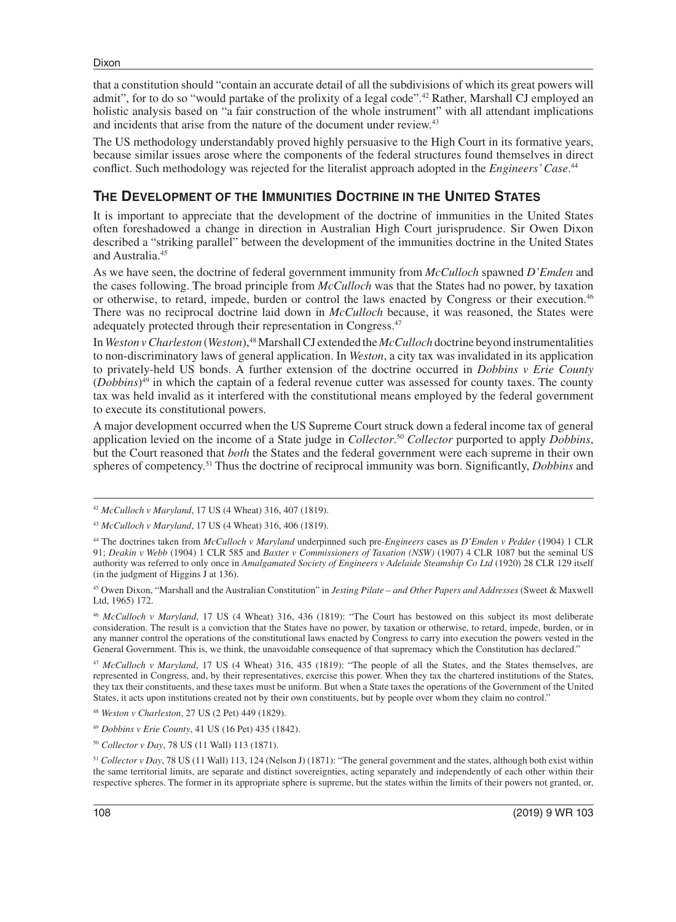that a constitution should "contain an accurate detail of all the subdivisions of which its great powers will admit", for to do so "would partake of the prolixity of a legal code".<sup>42</sup> Rather, Marshall CJ employed an holistic analysis based on "a fair construction of the whole instrument" with all attendant implications and incidents that arise from the nature of the document under review.<sup>43</sup>

The US methodology understandably proved highly persuasive to the High Court in its formative years, because similar issues arose where the components of the federal structures found themselves in direct conflict. Such methodology was rejected for the literalist approach adopted in the *Engineers' Case*. 44

#### **THE DEVELOPMENT OF THE IMMUNITIES DOCTRINE IN THE UNITED STATES**

It is important to appreciate that the development of the doctrine of immunities in the United States often foreshadowed a change in direction in Australian High Court jurisprudence. Sir Owen Dixon described a "striking parallel" between the development of the immunities doctrine in the United States and Australia.45

As we have seen, the doctrine of federal government immunity from *McCulloch* spawned *D'Emden* and the cases following. The broad principle from *McCulloch* was that the States had no power, by taxation or otherwise, to retard, impede, burden or control the laws enacted by Congress or their execution.46 There was no reciprocal doctrine laid down in *McCulloch* because, it was reasoned, the States were adequately protected through their representation in Congress.47

In *Weston v Charleston* (*Weston*),<sup>48</sup> Marshall CJ extended the *McCulloch* doctrine beyond instrumentalities to non-discriminatory laws of general application. In *Weston*, a city tax was invalidated in its application to privately-held US bonds. A further extension of the doctrine occurred in *Dobbins v Erie County* (*Dobbins*)49 in which the captain of a federal revenue cutter was assessed for county taxes. The county tax was held invalid as it interfered with the constitutional means employed by the federal government to execute its constitutional powers.

A major development occurred when the US Supreme Court struck down a federal income tax of general application levied on the income of a State judge in *Collector*. <sup>50</sup> *Collector* purported to apply *Dobbins*, but the Court reasoned that *both* the States and the federal government were each supreme in their own spheres of competency.51 Thus the doctrine of reciprocal immunity was born. Significantly, *Dobbins* and

<sup>46</sup> *McCulloch v Maryland*, 17 US (4 Wheat) 316, 436 (1819): "The Court has bestowed on this subject its most deliberate consideration. The result is a conviction that the States have no power, by taxation or otherwise, to retard, impede, burden, or in any manner control the operations of the constitutional laws enacted by Congress to carry into execution the powers vested in the General Government. This is, we think, the unavoidable consequence of that supremacy which the Constitution has declared."

<sup>47</sup> *McCulloch v Maryland*, 17 US (4 Wheat) 316, 435 (1819): "The people of all the States, and the States themselves, are represented in Congress, and, by their representatives, exercise this power. When they tax the chartered institutions of the States, they tax their constituents, and these taxes must be uniform. But when a State taxes the operations of the Government of the United States, it acts upon institutions created not by their own constituents, but by people over whom they claim no control."

<sup>42</sup> *McCulloch v Maryland*, 17 US (4 Wheat) 316, 407 (1819).

<sup>43</sup> *McCulloch v Maryland*, 17 US (4 Wheat) 316, 406 (1819).

<sup>44</sup> The doctrines taken from *McCulloch v Maryland* underpinned such pre-*Engineers* cases as *D'Emden v Pedder* (1904) 1 CLR 91; *Deakin v Webb* (1904) 1 CLR 585 and *Baxter v Commissioners of Taxation (NSW)* (1907) 4 CLR 1087 but the seminal US authority was referred to only once in *Amalgamated Society of Engineers v Adelaide Steamship Co Ltd* (1920) 28 CLR 129 itself (in the judgment of Higgins J at 136).

<sup>45</sup> Owen Dixon, "Marshall and the Australian Constitution" in *Jesting Pilate – and Other Papers and Addresses* (Sweet & Maxwell Ltd, 1965) 172.

<sup>48</sup> *Weston v Charleston*, 27 US (2 Pet) 449 (1829).

<sup>49</sup> *Dobbins v Erie County*, 41 US (16 Pet) 435 (1842).

<sup>50</sup> *Collector v Day*, 78 US (11 Wall) 113 (1871).

<sup>51</sup> *Collector v Day*, 78 US (11 Wall) 113, 124 (Nelson J) (1871): "The general government and the states, although both exist within the same territorial limits, are separate and distinct sovereignties, acting separately and independently of each other within their respective spheres. The former in its appropriate sphere is supreme, but the states within the limits of their powers not granted, or,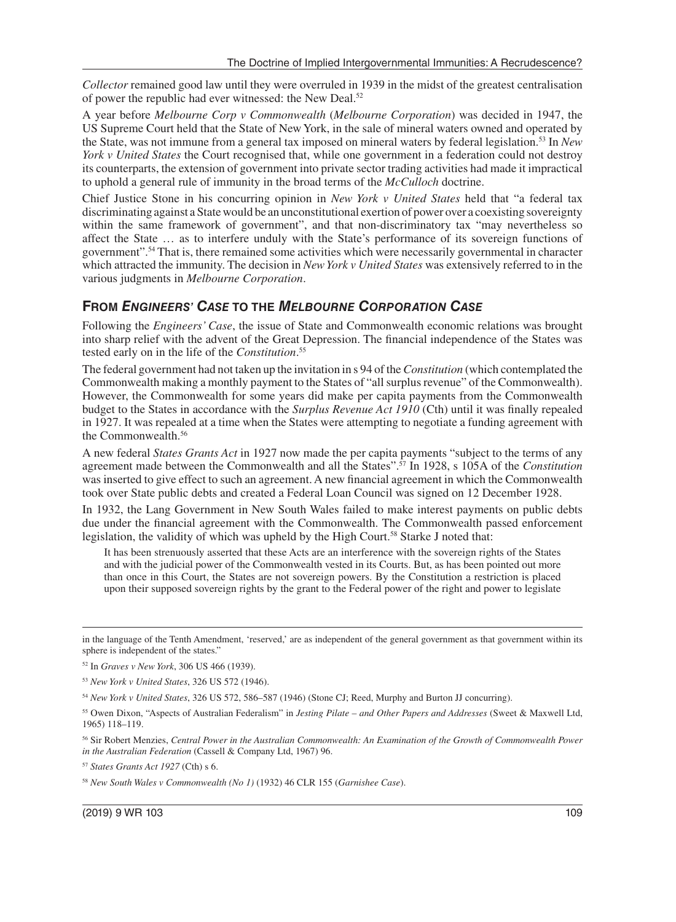*Collector* remained good law until they were overruled in 1939 in the midst of the greatest centralisation of power the republic had ever witnessed: the New Deal.52

A year before *Melbourne Corp v Commonwealth* (*Melbourne Corporation*) was decided in 1947, the US Supreme Court held that the State of New York, in the sale of mineral waters owned and operated by the State, was not immune from a general tax imposed on mineral waters by federal legislation.53 In *New York v United States* the Court recognised that, while one government in a federation could not destroy its counterparts, the extension of government into private sector trading activities had made it impractical to uphold a general rule of immunity in the broad terms of the *McCulloch* doctrine.

Chief Justice Stone in his concurring opinion in *New York v United States* held that "a federal tax discriminating against a State would be an unconstitutional exertion of power over a coexisting sovereignty within the same framework of government", and that non-discriminatory tax "may nevertheless so affect the State … as to interfere unduly with the State's performance of its sovereign functions of government".54 That is, there remained some activities which were necessarily governmental in character which attracted the immunity. The decision in *New York v United States* was extensively referred to in the various judgments in *Melbourne Corporation*.

#### **FROM** *ENGINEERS' CASE* **TO THE** *MELBOURNE CORPORATION CASE*

Following the *Engineers' Case*, the issue of State and Commonwealth economic relations was brought into sharp relief with the advent of the Great Depression. The financial independence of the States was tested early on in the life of the *Constitution*. 55

The federal government had not taken up the invitation in s 94 of the *Constitution* (which contemplated the Commonwealth making a monthly payment to the States of "all surplus revenue" of the Commonwealth). However, the Commonwealth for some years did make per capita payments from the Commonwealth budget to the States in accordance with the *Surplus Revenue Act 1910* (Cth) until it was finally repealed in 1927. It was repealed at a time when the States were attempting to negotiate a funding agreement with the Commonwealth.<sup>56</sup>

A new federal *States Grants Act* in 1927 now made the per capita payments "subject to the terms of any agreement made between the Commonwealth and all the States".57 In 1928, s 105A of the *Constitution* was inserted to give effect to such an agreement. A new financial agreement in which the Commonwealth took over State public debts and created a Federal Loan Council was signed on 12 December 1928.

In 1932, the Lang Government in New South Wales failed to make interest payments on public debts due under the financial agreement with the Commonwealth. The Commonwealth passed enforcement legislation, the validity of which was upheld by the High Court.<sup>58</sup> Starke J noted that:

It has been strenuously asserted that these Acts are an interference with the sovereign rights of the States and with the judicial power of the Commonwealth vested in its Courts. But, as has been pointed out more than once in this Court, the States are not sovereign powers. By the Constitution a restriction is placed upon their supposed sovereign rights by the grant to the Federal power of the right and power to legislate

in the language of the Tenth Amendment, 'reserved,' are as independent of the general government as that government within its sphere is independent of the states."

<sup>52</sup> In *Graves v New York*, 306 US 466 (1939).

<sup>53</sup> *New York v United States*, 326 US 572 (1946).

<sup>54</sup> *New York v United States*, 326 US 572, 586–587 (1946) (Stone CJ; Reed, Murphy and Burton JJ concurring).

<sup>55</sup> Owen Dixon, "Aspects of Australian Federalism" in *Jesting Pilate – and Other Papers and Addresses* (Sweet & Maxwell Ltd, 1965) 118–119.

<sup>56</sup> Sir Robert Menzies, *Central Power in the Australian Commonwealth: An Examination of the Growth of Commonwealth Power in the Australian Federation* (Cassell & Company Ltd, 1967) 96.

<sup>57</sup> *States Grants Act 1927* (Cth) s 6.

<sup>58</sup> *New South Wales v Commonwealth (No 1)* (1932) 46 CLR 155 (*Garnishee Case*).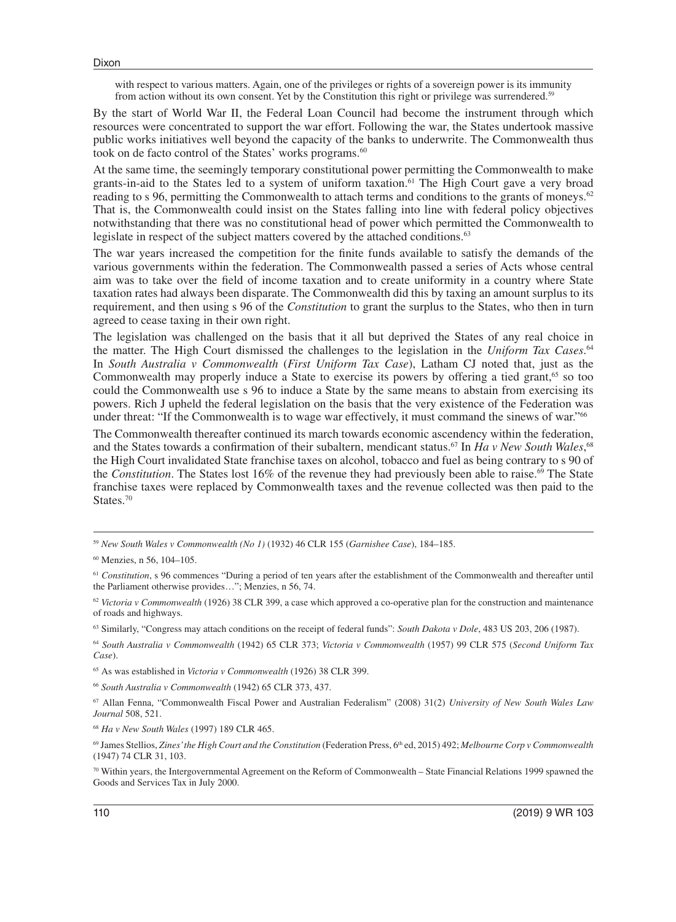with respect to various matters. Again, one of the privileges or rights of a sovereign power is its immunity from action without its own consent. Yet by the Constitution this right or privilege was surrendered.<sup>59</sup>

By the start of World War II, the Federal Loan Council had become the instrument through which resources were concentrated to support the war effort. Following the war, the States undertook massive public works initiatives well beyond the capacity of the banks to underwrite. The Commonwealth thus took on de facto control of the States' works programs.<sup>60</sup>

At the same time, the seemingly temporary constitutional power permitting the Commonwealth to make grants-in-aid to the States led to a system of uniform taxation.61 The High Court gave a very broad reading to s 96, permitting the Commonwealth to attach terms and conditions to the grants of moneys.<sup>62</sup> That is, the Commonwealth could insist on the States falling into line with federal policy objectives notwithstanding that there was no constitutional head of power which permitted the Commonwealth to legislate in respect of the subject matters covered by the attached conditions.<sup>63</sup>

The war years increased the competition for the finite funds available to satisfy the demands of the various governments within the federation. The Commonwealth passed a series of Acts whose central aim was to take over the field of income taxation and to create uniformity in a country where State taxation rates had always been disparate. The Commonwealth did this by taxing an amount surplus to its requirement, and then using s 96 of the *Constitution* to grant the surplus to the States, who then in turn agreed to cease taxing in their own right.

The legislation was challenged on the basis that it all but deprived the States of any real choice in the matter. The High Court dismissed the challenges to the legislation in the *Uniform Tax Cases*. 64 In *South Australia v Commonwealth* (*First Uniform Tax Case*), Latham CJ noted that, just as the Commonwealth may properly induce a State to exercise its powers by offering a tied grant,<sup>65</sup> so too could the Commonwealth use s 96 to induce a State by the same means to abstain from exercising its powers. Rich J upheld the federal legislation on the basis that the very existence of the Federation was under threat: "If the Commonwealth is to wage war effectively, it must command the sinews of war."66

The Commonwealth thereafter continued its march towards economic ascendency within the federation, and the States towards a confirmation of their subaltern, mendicant status.<sup>67</sup> In *Ha v New South Wales*,<sup>68</sup> the High Court invalidated State franchise taxes on alcohol, tobacco and fuel as being contrary to s 90 of the *Constitution*. The States lost 16% of the revenue they had previously been able to raise.<sup>69</sup> The State franchise taxes were replaced by Commonwealth taxes and the revenue collected was then paid to the States.<sup>70</sup>

63 Similarly, "Congress may attach conditions on the receipt of federal funds": *South Dakota v Dole*, 483 US 203, 206 (1987).

<sup>64</sup> *South Australia v Commonwealth* (1942) 65 CLR 373; *Victoria v Commonwealth* (1957) 99 CLR 575 (*Second Uniform Tax Case*).

65 As was established in *Victoria v Commonwealth* (1926) 38 CLR 399.

<sup>66</sup> *South Australia v Commonwealth* (1942) 65 CLR 373, 437.

<sup>59</sup> *New South Wales v Commonwealth (No 1)* (1932) 46 CLR 155 (*Garnishee Case*), 184–185.

<sup>60</sup> Menzies, n 56, 104–105.

<sup>&</sup>lt;sup>61</sup> Constitution, s 96 commences "During a period of ten years after the establishment of the Commonwealth and thereafter until the Parliament otherwise provides…"; Menzies, n 56, 74.

 $62$  *Victoria v Commonwealth* (1926) 38 CLR 399, a case which approved a co-operative plan for the construction and maintenance of roads and highways.

<sup>67</sup> Allan Fenna, "Commonwealth Fiscal Power and Australian Federalism" (2008) 31(2) *University of New South Wales Law Journal* 508, 521.

<sup>68</sup> *Ha v New South Wales* (1997) 189 CLR 465.

<sup>69</sup> James Stellios, *Zines' the High Court and the Constitution* (Federation Press, 6th ed, 2015) 492; *Melbourne Corp v Commonwealth* (1947) 74 CLR 31, 103.

<sup>70</sup> Within years, the Intergovernmental Agreement on the Reform of Commonwealth – State Financial Relations 1999 spawned the Goods and Services Tax in July 2000.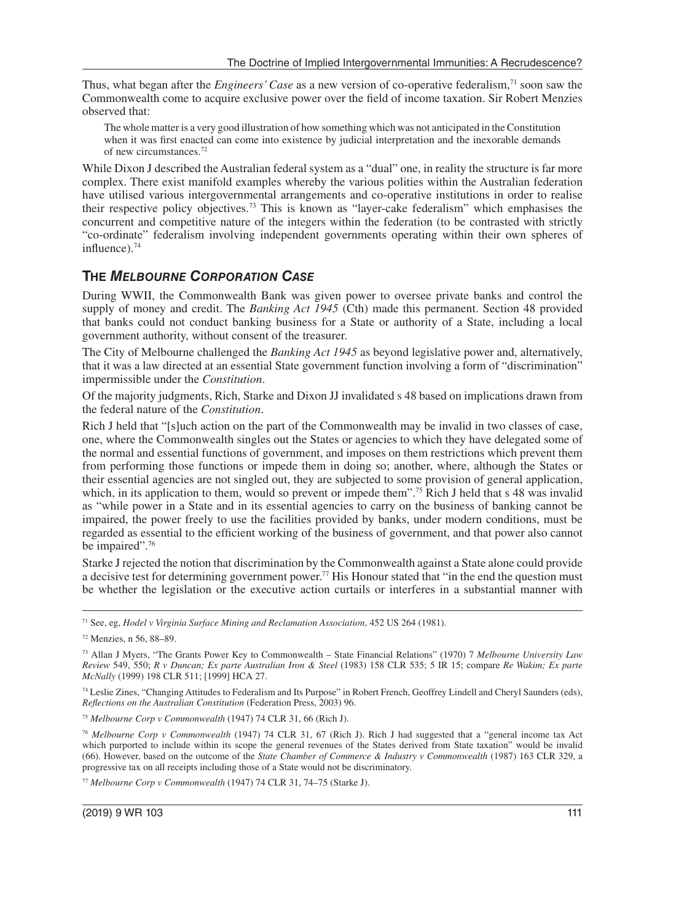Thus, what began after the *Engineers' Case* as a new version of co-operative federalism,71 soon saw the Commonwealth come to acquire exclusive power over the field of income taxation. Sir Robert Menzies observed that:

The whole matter is a very good illustration of how something which was not anticipated in the Constitution when it was first enacted can come into existence by judicial interpretation and the inexorable demands of new circumstances.72

While Dixon J described the Australian federal system as a "dual" one, in reality the structure is far more complex. There exist manifold examples whereby the various polities within the Australian federation have utilised various intergovernmental arrangements and co-operative institutions in order to realise their respective policy objectives.73 This is known as "layer-cake federalism" which emphasises the concurrent and competitive nature of the integers within the federation (to be contrasted with strictly "co-ordinate" federalism involving independent governments operating within their own spheres of influence).74

#### **THE** *MELBOURNE CORPORATION CASE*

During WWII, the Commonwealth Bank was given power to oversee private banks and control the supply of money and credit. The *Banking Act 1945* (Cth) made this permanent. Section 48 provided that banks could not conduct banking business for a State or authority of a State, including a local government authority, without consent of the treasurer.

The City of Melbourne challenged the *Banking Act 1945* as beyond legislative power and, alternatively, that it was a law directed at an essential State government function involving a form of "discrimination" impermissible under the *Constitution*.

Of the majority judgments, Rich, Starke and Dixon JJ invalidated s 48 based on implications drawn from the federal nature of the *Constitution*.

Rich J held that "[s]uch action on the part of the Commonwealth may be invalid in two classes of case, one, where the Commonwealth singles out the States or agencies to which they have delegated some of the normal and essential functions of government, and imposes on them restrictions which prevent them from performing those functions or impede them in doing so; another, where, although the States or their essential agencies are not singled out, they are subjected to some provision of general application, which, in its application to them, would so prevent or impede them".<sup>75</sup> Rich J held that s 48 was invalid as "while power in a State and in its essential agencies to carry on the business of banking cannot be impaired, the power freely to use the facilities provided by banks, under modern conditions, must be regarded as essential to the efficient working of the business of government, and that power also cannot be impaired".<sup>76</sup>

Starke J rejected the notion that discrimination by the Commonwealth against a State alone could provide a decisive test for determining government power.77 His Honour stated that "in the end the question must be whether the legislation or the executive action curtails or interferes in a substantial manner with

<sup>77</sup> *Melbourne Corp v Commonwealth* (1947) 74 CLR 31, 74–75 (Starke J).

<sup>71</sup> See, eg, *Hodel v Virginia Surface Mining and Reclamation Association*, 452 US 264 (1981).

<sup>72</sup> Menzies, n 56, 88–89.

<sup>73</sup> Allan J Myers, "The Grants Power Key to Commonwealth – State Financial Relations" (1970) 7 *Melbourne University Law Review* 549, 550; *R v Duncan; Ex parte Australian Iron & Steel* (1983) 158 CLR 535; 5 IR 15; compare *Re Wakim; Ex parte McNally* (1999) 198 CLR 511; [1999] HCA 27.

<sup>74</sup> Leslie Zines, "Changing Attitudes to Federalism and Its Purpose" in Robert French, Geoffrey Lindell and Cheryl Saunders (eds), *Reflections on the Australian Constitution* (Federation Press, 2003) 96.

<sup>75</sup> *Melbourne Corp v Commonwealth* (1947) 74 CLR 31, 66 (Rich J).

<sup>76</sup> *Melbourne Corp v Commonwealth* (1947) 74 CLR 31, 67 (Rich J). Rich J had suggested that a "general income tax Act which purported to include within its scope the general revenues of the States derived from State taxation" would be invalid (66). However, based on the outcome of the *State Chamber of Commerce & Industry v Commonwealth* (1987) 163 CLR 329, a progressive tax on all receipts including those of a State would not be discriminatory.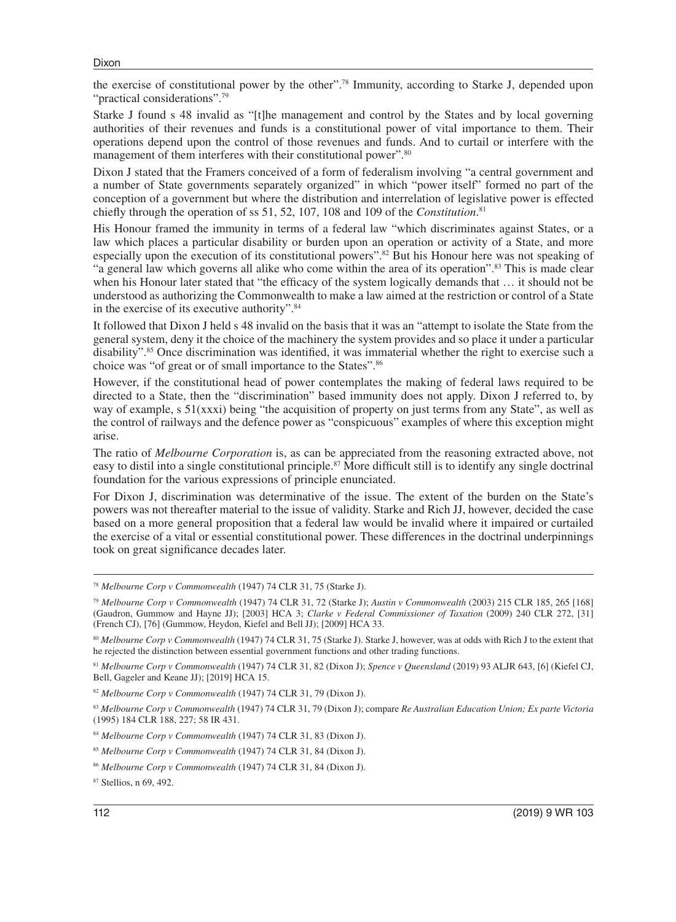the exercise of constitutional power by the other".78 Immunity, according to Starke J, depended upon "practical considerations".<sup>79</sup>

Starke J found s 48 invalid as "[t]he management and control by the States and by local governing authorities of their revenues and funds is a constitutional power of vital importance to them. Their operations depend upon the control of those revenues and funds. And to curtail or interfere with the management of them interferes with their constitutional power".<sup>80</sup>

Dixon J stated that the Framers conceived of a form of federalism involving "a central government and a number of State governments separately organized" in which "power itself" formed no part of the conception of a government but where the distribution and interrelation of legislative power is effected chiefly through the operation of ss 51, 52, 107, 108 and 109 of the *Constitution*. 81

His Honour framed the immunity in terms of a federal law "which discriminates against States, or a law which places a particular disability or burden upon an operation or activity of a State, and more especially upon the execution of its constitutional powers".82 But his Honour here was not speaking of "a general law which governs all alike who come within the area of its operation".83 This is made clear when his Honour later stated that "the efficacy of the system logically demands that … it should not be understood as authorizing the Commonwealth to make a law aimed at the restriction or control of a State in the exercise of its executive authority".84

It followed that Dixon J held s 48 invalid on the basis that it was an "attempt to isolate the State from the general system, deny it the choice of the machinery the system provides and so place it under a particular disability".85 Once discrimination was identified, it was immaterial whether the right to exercise such a choice was "of great or of small importance to the States".86

However, if the constitutional head of power contemplates the making of federal laws required to be directed to a State, then the "discrimination" based immunity does not apply. Dixon J referred to, by way of example, s 51(xxxi) being "the acquisition of property on just terms from any State", as well as the control of railways and the defence power as "conspicuous" examples of where this exception might arise.

The ratio of *Melbourne Corporation* is, as can be appreciated from the reasoning extracted above, not easy to distil into a single constitutional principle.<sup>87</sup> More difficult still is to identify any single doctrinal foundation for the various expressions of principle enunciated.

For Dixon J, discrimination was determinative of the issue. The extent of the burden on the State's powers was not thereafter material to the issue of validity. Starke and Rich JJ, however, decided the case based on a more general proposition that a federal law would be invalid where it impaired or curtailed the exercise of a vital or essential constitutional power. These differences in the doctrinal underpinnings took on great significance decades later.

<sup>81</sup> *Melbourne Corp v Commonwealth* (1947) 74 CLR 31, 82 (Dixon J); *Spence v Queensland* (2019) 93 ALJR 643, [6] (Kiefel CJ, Bell, Gageler and Keane JJ); [2019] HCA 15.

<sup>78</sup> *Melbourne Corp v Commonwealth* (1947) 74 CLR 31, 75 (Starke J).

<sup>79</sup> *Melbourne Corp v Commonwealth* (1947) 74 CLR 31, 72 (Starke J); *Austin v Commonwealth* (2003) 215 CLR 185, 265 [168] (Gaudron, Gummow and Hayne JJ); [2003] HCA 3; *Clarke v Federal Commissioner of Taxation* (2009) 240 CLR 272, [31] (French CJ), [76] (Gummow, Heydon, Kiefel and Bell JJ); [2009] HCA 33.

<sup>80</sup> *Melbourne Corp v Commonwealth* (1947) 74 CLR 31, 75 (Starke J). Starke J, however, was at odds with Rich J to the extent that he rejected the distinction between essential government functions and other trading functions.

<sup>82</sup> *Melbourne Corp v Commonwealth* (1947) 74 CLR 31, 79 (Dixon J).

<sup>83</sup> *Melbourne Corp v Commonwealth* (1947) 74 CLR 31, 79 (Dixon J); compare *Re Australian Education Union; Ex parte Victoria* (1995) 184 CLR 188, 227; 58 IR 431.

<sup>84</sup> *Melbourne Corp v Commonwealth* (1947) 74 CLR 31, 83 (Dixon J).

<sup>85</sup> *Melbourne Corp v Commonwealth* (1947) 74 CLR 31, 84 (Dixon J).

<sup>86</sup> *Melbourne Corp v Commonwealth* (1947) 74 CLR 31, 84 (Dixon J).

<sup>87</sup> Stellios, n 69, 492.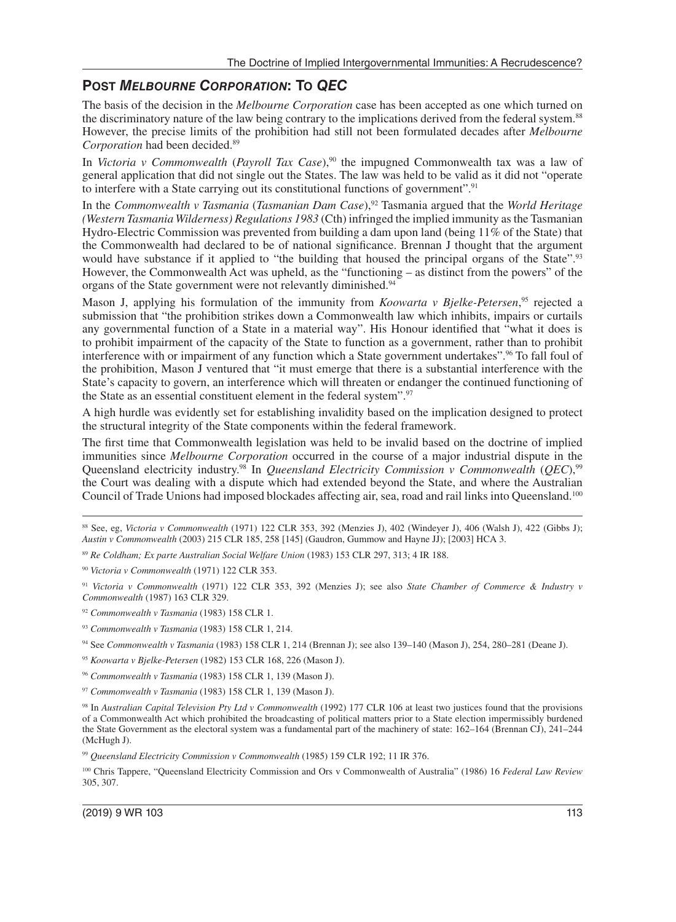#### **POST** *MELBOURNE CORPORATION***: TO** *QEC*

The basis of the decision in the *Melbourne Corporation* case has been accepted as one which turned on the discriminatory nature of the law being contrary to the implications derived from the federal system.<sup>88</sup> However, the precise limits of the prohibition had still not been formulated decades after *Melbourne Corporation* had been decided.89

In *Victoria v Commonwealth* (*Payroll Tax Case*),<sup>90</sup> the impugned Commonwealth tax was a law of general application that did not single out the States. The law was held to be valid as it did not "operate to interfere with a State carrying out its constitutional functions of government".<sup>91</sup>

In the *Commonwealth v Tasmania* (*Tasmanian Dam Case*),92 Tasmania argued that the *World Heritage (Western Tasmania Wilderness) Regulations 1983* (Cth) infringed the implied immunity as the Tasmanian Hydro-Electric Commission was prevented from building a dam upon land (being 11% of the State) that the Commonwealth had declared to be of national significance. Brennan J thought that the argument would have substance if it applied to "the building that housed the principal organs of the State".<sup>93</sup> However, the Commonwealth Act was upheld, as the "functioning – as distinct from the powers" of the organs of the State government were not relevantly diminished.94

Mason J, applying his formulation of the immunity from *Koowarta v Bjelke-Petersen*,<sup>95</sup> rejected a submission that "the prohibition strikes down a Commonwealth law which inhibits, impairs or curtails any governmental function of a State in a material way". His Honour identified that "what it does is to prohibit impairment of the capacity of the State to function as a government, rather than to prohibit interference with or impairment of any function which a State government undertakes".96 To fall foul of the prohibition, Mason J ventured that "it must emerge that there is a substantial interference with the State's capacity to govern, an interference which will threaten or endanger the continued functioning of the State as an essential constituent element in the federal system".97

A high hurdle was evidently set for establishing invalidity based on the implication designed to protect the structural integrity of the State components within the federal framework.

The first time that Commonwealth legislation was held to be invalid based on the doctrine of implied immunities since *Melbourne Corporation* occurred in the course of a major industrial dispute in the Queensland electricity industry.98 In *Queensland Electricity Commission v Commonwealth* (*QEC*),99 the Court was dealing with a dispute which had extended beyond the State, and where the Australian Council of Trade Unions had imposed blockades affecting air, sea, road and rail links into Queensland.<sup>100</sup>

<sup>95</sup> *Koowarta v Bjelke-Petersen* (1982) 153 CLR 168, 226 (Mason J).

<sup>88</sup> See, eg, *Victoria v Commonwealth* (1971) 122 CLR 353, 392 (Menzies J), 402 (Windeyer J), 406 (Walsh J), 422 (Gibbs J); *Austin v Commonwealth* (2003) 215 CLR 185, 258 [145] (Gaudron, Gummow and Hayne JJ); [2003] HCA 3.

<sup>89</sup> *Re Coldham; Ex parte Australian Social Welfare Union* (1983) 153 CLR 297, 313; 4 IR 188.

<sup>90</sup> *Victoria v Commonwealth* (1971) 122 CLR 353.

<sup>&</sup>lt;sup>91</sup> Victoria v Commonwealth (1971) 122 CLR 353, 392 (Menzies J); see also *State Chamber of Commerce & Industry v Commonwealth* (1987) 163 CLR 329.

<sup>92</sup> *Commonwealth v Tasmania* (1983) 158 CLR 1.

<sup>93</sup> *Commonwealth v Tasmania* (1983) 158 CLR 1, 214.

<sup>94</sup> See *Commonwealth v Tasmania* (1983) 158 CLR 1, 214 (Brennan J); see also 139–140 (Mason J), 254, 280–281 (Deane J).

<sup>96</sup> *Commonwealth v Tasmania* (1983) 158 CLR 1, 139 (Mason J).

<sup>97</sup> *Commonwealth v Tasmania* (1983) 158 CLR 1, 139 (Mason J).

<sup>98</sup> In *Australian Capital Television Pty Ltd v Commonwealth* (1992) 177 CLR 106 at least two justices found that the provisions of a Commonwealth Act which prohibited the broadcasting of political matters prior to a State election impermissibly burdened the State Government as the electoral system was a fundamental part of the machinery of state: 162–164 (Brennan CJ), 241–244 (McHugh J).

<sup>99</sup> *Queensland Electricity Commission v Commonwealth* (1985) 159 CLR 192; 11 IR 376.

<sup>100</sup> Chris Tappere, "Queensland Electricity Commission and Ors v Commonwealth of Australia" (1986) 16 *Federal Law Review* 305, 307.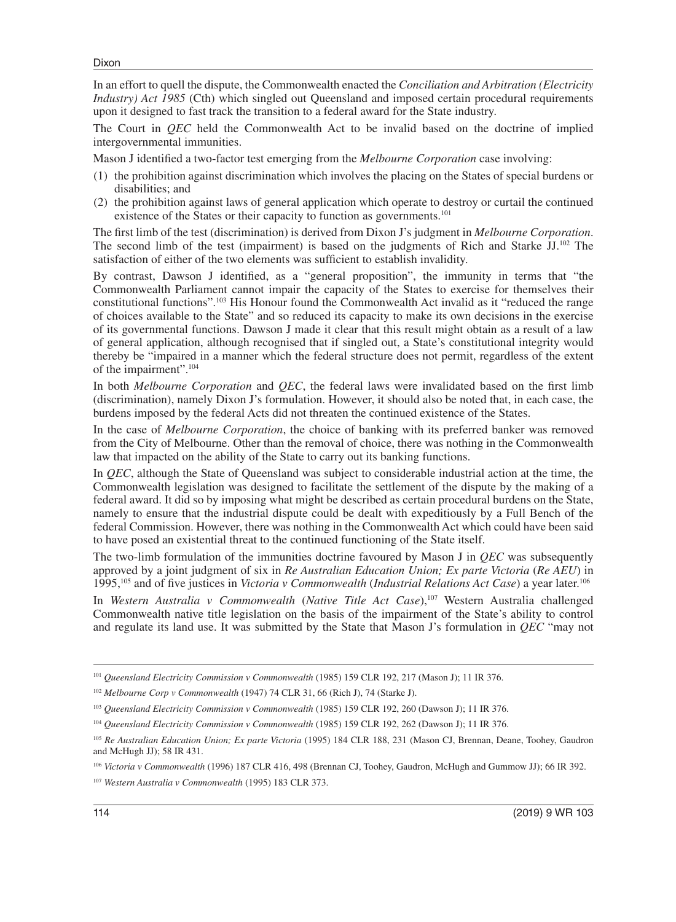```
Dixon
```
In an effort to quell the dispute, the Commonwealth enacted the *Conciliation and Arbitration (Electricity Industry*) Act 1985 (Cth) which singled out Queensland and imposed certain procedural requirements upon it designed to fast track the transition to a federal award for the State industry.

The Court in *QEC* held the Commonwealth Act to be invalid based on the doctrine of implied intergovernmental immunities.

Mason J identified a two-factor test emerging from the *Melbourne Corporation* case involving:

- (1) the prohibition against discrimination which involves the placing on the States of special burdens or disabilities; and
- (2) the prohibition against laws of general application which operate to destroy or curtail the continued existence of the States or their capacity to function as governments.<sup>101</sup>

The first limb of the test (discrimination) is derived from Dixon J's judgment in *Melbourne Corporation*. The second limb of the test (impairment) is based on the judgments of Rich and Starke JJ.102 The satisfaction of either of the two elements was sufficient to establish invalidity.

By contrast, Dawson J identified, as a "general proposition", the immunity in terms that "the Commonwealth Parliament cannot impair the capacity of the States to exercise for themselves their constitutional functions".103 His Honour found the Commonwealth Act invalid as it "reduced the range of choices available to the State" and so reduced its capacity to make its own decisions in the exercise of its governmental functions. Dawson J made it clear that this result might obtain as a result of a law of general application, although recognised that if singled out, a State's constitutional integrity would thereby be "impaired in a manner which the federal structure does not permit, regardless of the extent of the impairment".104

In both *Melbourne Corporation* and *QEC*, the federal laws were invalidated based on the first limb (discrimination), namely Dixon J's formulation. However, it should also be noted that, in each case, the burdens imposed by the federal Acts did not threaten the continued existence of the States.

In the case of *Melbourne Corporation*, the choice of banking with its preferred banker was removed from the City of Melbourne. Other than the removal of choice, there was nothing in the Commonwealth law that impacted on the ability of the State to carry out its banking functions.

In *QEC*, although the State of Queensland was subject to considerable industrial action at the time, the Commonwealth legislation was designed to facilitate the settlement of the dispute by the making of a federal award. It did so by imposing what might be described as certain procedural burdens on the State, namely to ensure that the industrial dispute could be dealt with expeditiously by a Full Bench of the federal Commission. However, there was nothing in the Commonwealth Act which could have been said to have posed an existential threat to the continued functioning of the State itself.

The two-limb formulation of the immunities doctrine favoured by Mason J in *QEC* was subsequently approved by a joint judgment of six in *Re Australian Education Union; Ex parte Victoria* (*Re AEU*) in 1995,105 and of five justices in *Victoria v Commonwealth* (*Industrial Relations Act Case*) a year later.106

In *Western Australia v Commonwealth* (*Native Title Act Case*),107 Western Australia challenged Commonwealth native title legislation on the basis of the impairment of the State's ability to control and regulate its land use. It was submitted by the State that Mason J's formulation in *QEC* "may not

<sup>101</sup> *Queensland Electricity Commission v Commonwealth* (1985) 159 CLR 192, 217 (Mason J); 11 IR 376.

<sup>102</sup> *Melbourne Corp v Commonwealth* (1947) 74 CLR 31, 66 (Rich J), 74 (Starke J).

<sup>103</sup> *Queensland Electricity Commission v Commonwealth* (1985) 159 CLR 192, 260 (Dawson J); 11 IR 376.

<sup>104</sup> *Queensland Electricity Commission v Commonwealth* (1985) 159 CLR 192, 262 (Dawson J); 11 IR 376.

<sup>105</sup> *Re Australian Education Union; Ex parte Victoria* (1995) 184 CLR 188, 231 (Mason CJ, Brennan, Deane, Toohey, Gaudron and McHugh JJ); 58 IR 431.

<sup>106</sup> *Victoria v Commonwealth* (1996) 187 CLR 416, 498 (Brennan CJ, Toohey, Gaudron, McHugh and Gummow JJ); 66 IR 392.

<sup>107</sup> *Western Australia v Commonwealth* (1995) 183 CLR 373.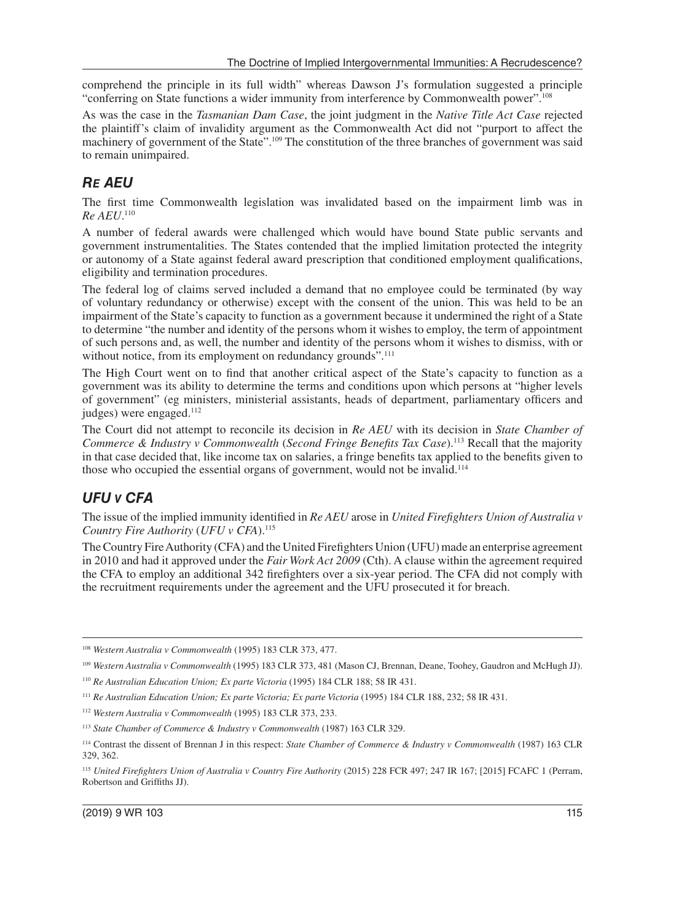comprehend the principle in its full width" whereas Dawson J's formulation suggested a principle "conferring on State functions a wider immunity from interference by Commonwealth power".108

As was the case in the *Tasmanian Dam Case*, the joint judgment in the *Native Title Act Case* rejected the plaintiff's claim of invalidity argument as the Commonwealth Act did not "purport to affect the machinery of government of the State".109 The constitution of the three branches of government was said to remain unimpaired.

## *RE AEU*

The first time Commonwealth legislation was invalidated based on the impairment limb was in *Re AEU*. 110

A number of federal awards were challenged which would have bound State public servants and government instrumentalities. The States contended that the implied limitation protected the integrity or autonomy of a State against federal award prescription that conditioned employment qualifications, eligibility and termination procedures.

The federal log of claims served included a demand that no employee could be terminated (by way of voluntary redundancy or otherwise) except with the consent of the union. This was held to be an impairment of the State's capacity to function as a government because it undermined the right of a State to determine "the number and identity of the persons whom it wishes to employ, the term of appointment of such persons and, as well, the number and identity of the persons whom it wishes to dismiss, with or without notice, from its employment on redundancy grounds".<sup>111</sup>

The High Court went on to find that another critical aspect of the State's capacity to function as a government was its ability to determine the terms and conditions upon which persons at "higher levels of government" (eg ministers, ministerial assistants, heads of department, parliamentary officers and judges) were engaged.<sup>112</sup>

The Court did not attempt to reconcile its decision in *Re AEU* with its decision in *State Chamber of Commerce & Industry v Commonwealth* (*Second Fringe Benefits Tax Case*).113 Recall that the majority in that case decided that, like income tax on salaries, a fringe benefits tax applied to the benefits given to those who occupied the essential organs of government, would not be invalid.<sup>114</sup>

## *UFU V CFA*

The issue of the implied immunity identified in *Re AEU* arose in *United Firefighters Union of Australia v Country Fire Authority* (*UFU v CFA*).115

The Country Fire Authority (CFA) and the United Firefighters Union (UFU) made an enterprise agreement in 2010 and had it approved under the *Fair Work Act 2009* (Cth). A clause within the agreement required the CFA to employ an additional 342 firefighters over a six-year period. The CFA did not comply with the recruitment requirements under the agreement and the UFU prosecuted it for breach.

<sup>108</sup> *Western Australia v Commonwealth* (1995) 183 CLR 373, 477.

<sup>109</sup> *Western Australia v Commonwealth* (1995) 183 CLR 373, 481 (Mason CJ, Brennan, Deane, Toohey, Gaudron and McHugh JJ).

<sup>110</sup> *Re Australian Education Union; Ex parte Victoria* (1995) 184 CLR 188; 58 IR 431.

<sup>111</sup> *Re Australian Education Union; Ex parte Victoria; Ex parte Victoria* (1995) 184 CLR 188, 232; 58 IR 431.

<sup>112</sup> *Western Australia v Commonwealth* (1995) 183 CLR 373, 233.

<sup>113</sup> *State Chamber of Commerce & Industry v Commonwealth* (1987) 163 CLR 329.

<sup>114</sup> Contrast the dissent of Brennan J in this respect: *State Chamber of Commerce & Industry v Commonwealth* (1987) 163 CLR 329, 362.

<sup>115</sup> *United Firefighters Union of Australia v Country Fire Authority* (2015) 228 FCR 497; 247 IR 167; [2015] FCAFC 1 (Perram, Robertson and Griffiths JJ).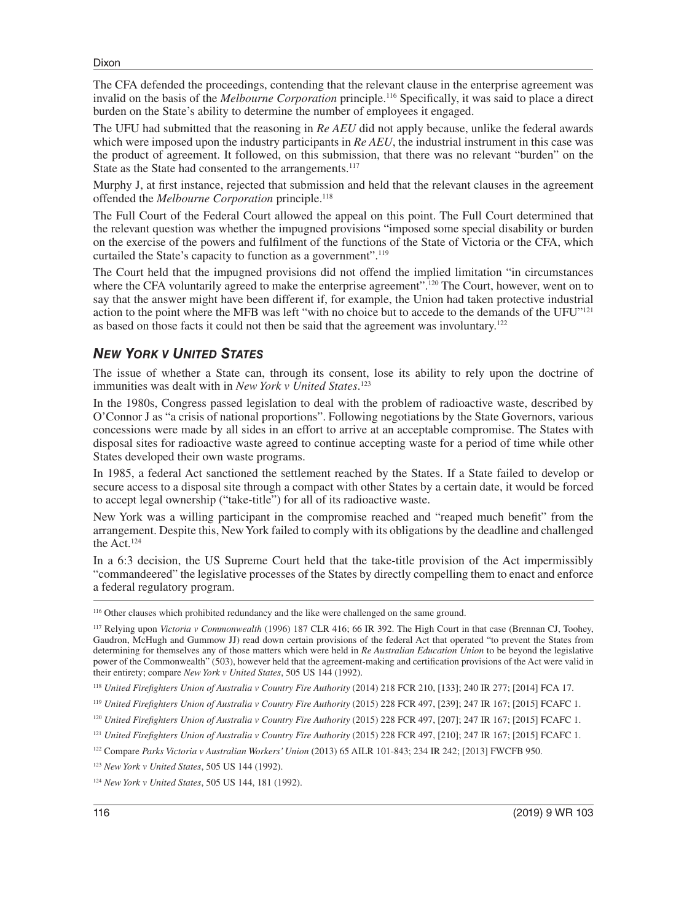The CFA defended the proceedings, contending that the relevant clause in the enterprise agreement was invalid on the basis of the *Melbourne Corporation* principle.116 Specifically, it was said to place a direct burden on the State's ability to determine the number of employees it engaged.

The UFU had submitted that the reasoning in *Re AEU* did not apply because, unlike the federal awards which were imposed upon the industry participants in *Re AEU*, the industrial instrument in this case was the product of agreement. It followed, on this submission, that there was no relevant "burden" on the State as the State had consented to the arrangements.<sup>117</sup>

Murphy J, at first instance, rejected that submission and held that the relevant clauses in the agreement offended the *Melbourne Corporation* principle.118

The Full Court of the Federal Court allowed the appeal on this point. The Full Court determined that the relevant question was whether the impugned provisions "imposed some special disability or burden on the exercise of the powers and fulfilment of the functions of the State of Victoria or the CFA, which curtailed the State's capacity to function as a government".<sup>119</sup>

The Court held that the impugned provisions did not offend the implied limitation "in circumstances where the CFA voluntarily agreed to make the enterprise agreement".<sup>120</sup> The Court, however, went on to say that the answer might have been different if, for example, the Union had taken protective industrial action to the point where the MFB was left "with no choice but to accede to the demands of the UFU"<sup>121</sup> as based on those facts it could not then be said that the agreement was involuntary.122

#### *NEW YORK V UNITED STATES*

The issue of whether a State can, through its consent, lose its ability to rely upon the doctrine of immunities was dealt with in *New York v United States*. 123

In the 1980s, Congress passed legislation to deal with the problem of radioactive waste, described by O'Connor J as "a crisis of national proportions". Following negotiations by the State Governors, various concessions were made by all sides in an effort to arrive at an acceptable compromise. The States with disposal sites for radioactive waste agreed to continue accepting waste for a period of time while other States developed their own waste programs.

In 1985, a federal Act sanctioned the settlement reached by the States. If a State failed to develop or secure access to a disposal site through a compact with other States by a certain date, it would be forced to accept legal ownership ("take-title") for all of its radioactive waste.

New York was a willing participant in the compromise reached and "reaped much benefit" from the arrangement. Despite this, New York failed to comply with its obligations by the deadline and challenged the Act.124

In a 6:3 decision, the US Supreme Court held that the take-title provision of the Act impermissibly "commandeered" the legislative processes of the States by directly compelling them to enact and enforce a federal regulatory program.

<sup>116</sup> Other clauses which prohibited redundancy and the like were challenged on the same ground.

<sup>117</sup> Relying upon *Victoria v Commonwealth* (1996) 187 CLR 416; 66 IR 392. The High Court in that case (Brennan CJ, Toohey, Gaudron, McHugh and Gummow JJ) read down certain provisions of the federal Act that operated "to prevent the States from determining for themselves any of those matters which were held in *Re Australian Education Union* to be beyond the legislative power of the Commonwealth" (503), however held that the agreement-making and certification provisions of the Act were valid in their entirety; compare *New York v United States*, 505 US 144 (1992).

<sup>118</sup> *United Firefighters Union of Australia v Country Fire Authority* (2014) 218 FCR 210, [133]; 240 IR 277; [2014] FCA 17.

<sup>119</sup> *United Firefighters Union of Australia v Country Fire Authority* (2015) 228 FCR 497, [239]; 247 IR 167; [2015] FCAFC 1.

<sup>&</sup>lt;sup>120</sup> *United Firefighters Union of Australia v Country Fire Authority* (2015) 228 FCR 497, [207]; 247 IR 167; [2015] FCAFC 1.

<sup>&</sup>lt;sup>121</sup> *United Firefighters Union of Australia v Country Fire Authority* (2015) 228 FCR 497, [210]; 247 IR 167; [2015] FCAFC 1.

<sup>122</sup> Compare *Parks Victoria v Australian Workers' Union* (2013) 65 AILR 101-843; 234 IR 242; [2013] FWCFB 950.

<sup>123</sup> *New York v United States*, 505 US 144 (1992).

<sup>124</sup> *New York v United States*, 505 US 144, 181 (1992).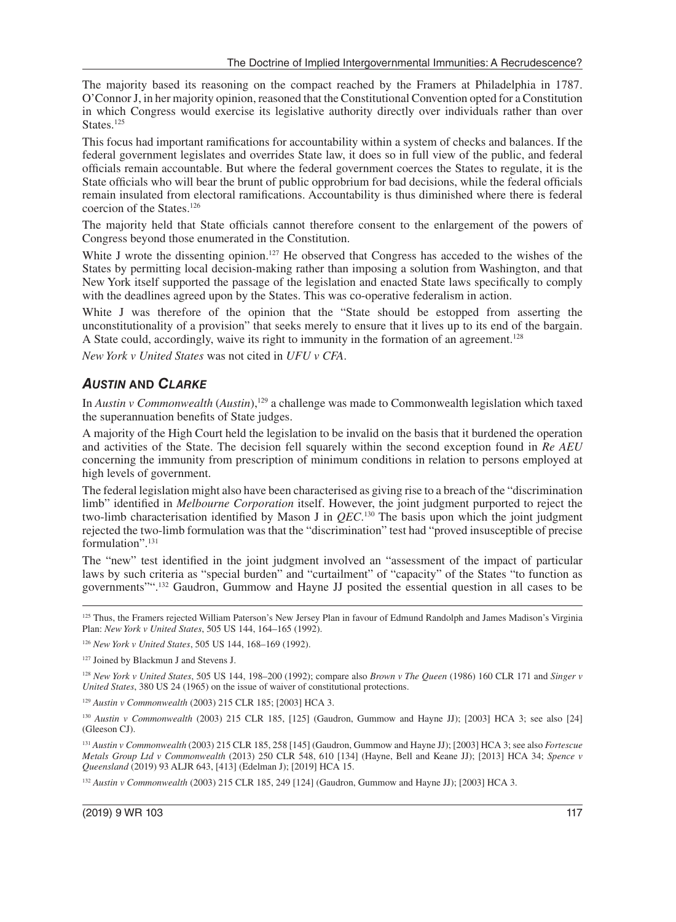The majority based its reasoning on the compact reached by the Framers at Philadelphia in 1787. O'Connor J, in her majority opinion, reasoned that the Constitutional Convention opted for a Constitution in which Congress would exercise its legislative authority directly over individuals rather than over States.<sup>125</sup>

This focus had important ramifications for accountability within a system of checks and balances. If the federal government legislates and overrides State law, it does so in full view of the public, and federal officials remain accountable. But where the federal government coerces the States to regulate, it is the State officials who will bear the brunt of public opprobrium for bad decisions, while the federal officials remain insulated from electoral ramifications. Accountability is thus diminished where there is federal coercion of the States.126

The majority held that State officials cannot therefore consent to the enlargement of the powers of Congress beyond those enumerated in the Constitution.

White J wrote the dissenting opinion.<sup>127</sup> He observed that Congress has acceded to the wishes of the States by permitting local decision-making rather than imposing a solution from Washington, and that New York itself supported the passage of the legislation and enacted State laws specifically to comply with the deadlines agreed upon by the States. This was co-operative federalism in action.

White J was therefore of the opinion that the "State should be estopped from asserting the unconstitutionality of a provision" that seeks merely to ensure that it lives up to its end of the bargain. A State could, accordingly, waive its right to immunity in the formation of an agreement.128

*New York v United States* was not cited in *UFU v CFA*.

#### *AUSTIN* **AND** *CLARKE*

In *Austin v Commonwealth* (*Austin*),129 a challenge was made to Commonwealth legislation which taxed the superannuation benefits of State judges.

A majority of the High Court held the legislation to be invalid on the basis that it burdened the operation and activities of the State. The decision fell squarely within the second exception found in *Re AEU* concerning the immunity from prescription of minimum conditions in relation to persons employed at high levels of government.

The federal legislation might also have been characterised as giving rise to a breach of the "discrimination limb" identified in *Melbourne Corporation* itself. However, the joint judgment purported to reject the two-limb characterisation identified by Mason J in  $QEC$ .<sup>130</sup> The basis upon which the joint judgment rejected the two-limb formulation was that the "discrimination" test had "proved insusceptible of precise formulation".131

The "new" test identified in the joint judgment involved an "assessment of the impact of particular laws by such criteria as "special burden" and "curtailment" of "capacity" of the States "to function as governments"".132 Gaudron, Gummow and Hayne JJ posited the essential question in all cases to be

<sup>125</sup> Thus, the Framers rejected William Paterson's New Jersey Plan in favour of Edmund Randolph and James Madison's Virginia Plan: *New York v United States*, 505 US 144, 164–165 (1992).

<sup>126</sup> *New York v United States*, 505 US 144, 168–169 (1992).

<sup>127</sup> Joined by Blackmun J and Stevens J.

<sup>128</sup> *New York v United States*, 505 US 144, 198–200 (1992); compare also *Brown v The Queen* (1986) 160 CLR 171 and *Singer v United States*, 380 US 24 (1965) on the issue of waiver of constitutional protections.

<sup>129</sup> *Austin v Commonwealth* (2003) 215 CLR 185; [2003] HCA 3.

<sup>130</sup> *Austin v Commonwealth* (2003) 215 CLR 185, [125] (Gaudron, Gummow and Hayne JJ); [2003] HCA 3; see also [24] (Gleeson CJ).

<sup>131</sup> *Austin v Commonwealth* (2003) 215 CLR 185, 258 [145] (Gaudron, Gummow and Hayne JJ); [2003] HCA 3; see also *Fortescue Metals Group Ltd v Commonwealth* (2013) 250 CLR 548, 610 [134] (Hayne, Bell and Keane JJ); [2013] HCA 34; *Spence v Queensland* (2019) 93 ALJR 643, [413] (Edelman J); [2019] HCA 15.

<sup>132</sup> *Austin v Commonwealth* (2003) 215 CLR 185, 249 [124] (Gaudron, Gummow and Hayne JJ); [2003] HCA 3.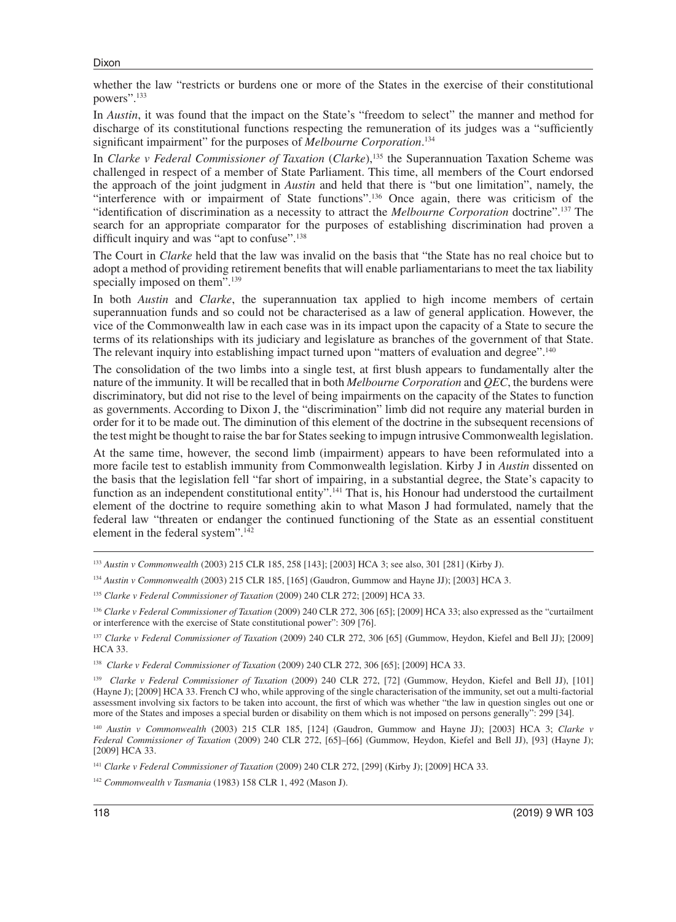```
Dixon
```
whether the law "restricts or burdens one or more of the States in the exercise of their constitutional powers".133

In *Austin*, it was found that the impact on the State's "freedom to select" the manner and method for discharge of its constitutional functions respecting the remuneration of its judges was a "sufficiently significant impairment" for the purposes of *Melbourne Corporation*. 134

In *Clarke v Federal Commissioner of Taxation* (*Clarke*),<sup>135</sup> the Superannuation Taxation Scheme was challenged in respect of a member of State Parliament. This time, all members of the Court endorsed the approach of the joint judgment in *Austin* and held that there is "but one limitation", namely, the "interference with or impairment of State functions".<sup>136</sup> Once again, there was criticism of the "identification of discrimination as a necessity to attract the *Melbourne Corporation* doctrine".137 The search for an appropriate comparator for the purposes of establishing discrimination had proven a difficult inquiry and was "apt to confuse".<sup>138</sup>

The Court in *Clarke* held that the law was invalid on the basis that "the State has no real choice but to adopt a method of providing retirement benefits that will enable parliamentarians to meet the tax liability specially imposed on them".<sup>139</sup>

In both *Austin* and *Clarke*, the superannuation tax applied to high income members of certain superannuation funds and so could not be characterised as a law of general application. However, the vice of the Commonwealth law in each case was in its impact upon the capacity of a State to secure the terms of its relationships with its judiciary and legislature as branches of the government of that State. The relevant inquiry into establishing impact turned upon "matters of evaluation and degree".<sup>140</sup>

The consolidation of the two limbs into a single test, at first blush appears to fundamentally alter the nature of the immunity. It will be recalled that in both *Melbourne Corporation* and *QEC*, the burdens were discriminatory, but did not rise to the level of being impairments on the capacity of the States to function as governments. According to Dixon J, the "discrimination" limb did not require any material burden in order for it to be made out. The diminution of this element of the doctrine in the subsequent recensions of the test might be thought to raise the bar for States seeking to impugn intrusive Commonwealth legislation.

At the same time, however, the second limb (impairment) appears to have been reformulated into a more facile test to establish immunity from Commonwealth legislation. Kirby J in *Austin* dissented on the basis that the legislation fell "far short of impairing, in a substantial degree, the State's capacity to function as an independent constitutional entity".<sup>141</sup> That is, his Honour had understood the curtailment element of the doctrine to require something akin to what Mason J had formulated, namely that the federal law "threaten or endanger the continued functioning of the State as an essential constituent element in the federal system".<sup>142</sup>

<sup>133</sup> *Austin v Commonwealth* (2003) 215 CLR 185, 258 [143]; [2003] HCA 3; see also, 301 [281] (Kirby J).

<sup>134</sup> *Austin v Commonwealth* (2003) 215 CLR 185, [165] (Gaudron, Gummow and Hayne JJ); [2003] HCA 3.

<sup>135</sup> *Clarke v Federal Commissioner of Taxation* (2009) 240 CLR 272; [2009] HCA 33.

<sup>136</sup> *Clarke v Federal Commissioner of Taxation* (2009) 240 CLR 272, 306 [65]; [2009] HCA 33; also expressed as the "curtailment or interference with the exercise of State constitutional power": 309 [76].

<sup>137</sup> *Clarke v Federal Commissioner of Taxation* (2009) 240 CLR 272, 306 [65] (Gummow, Heydon, Kiefel and Bell JJ); [2009] HCA 33.

<sup>138</sup> *Clarke v Federal Commissioner of Taxation* (2009) 240 CLR 272, 306 [65]; [2009] HCA 33.

<sup>&</sup>lt;sup>139</sup> Clarke v Federal Commissioner of Taxation (2009) 240 CLR 272, [72] (Gummow, Heydon, Kiefel and Bell JJ), [101] (Hayne J); [2009] HCA 33. French CJ who, while approving of the single characterisation of the immunity, set out a multi-factorial assessment involving six factors to be taken into account, the first of which was whether "the law in question singles out one or more of the States and imposes a special burden or disability on them which is not imposed on persons generally": 299 [34].

<sup>140</sup> *Austin v Commonwealth* (2003) 215 CLR 185, [124] (Gaudron, Gummow and Hayne JJ); [2003] HCA 3; *Clarke v Federal Commissioner of Taxation* (2009) 240 CLR 272, [65]–[66] (Gummow, Heydon, Kiefel and Bell JJ), [93] (Hayne J); [2009] HCA 33.

<sup>141</sup> *Clarke v Federal Commissioner of Taxation* (2009) 240 CLR 272, [299] (Kirby J); [2009] HCA 33.

<sup>142</sup> *Commonwealth v Tasmania* (1983) 158 CLR 1, 492 (Mason J).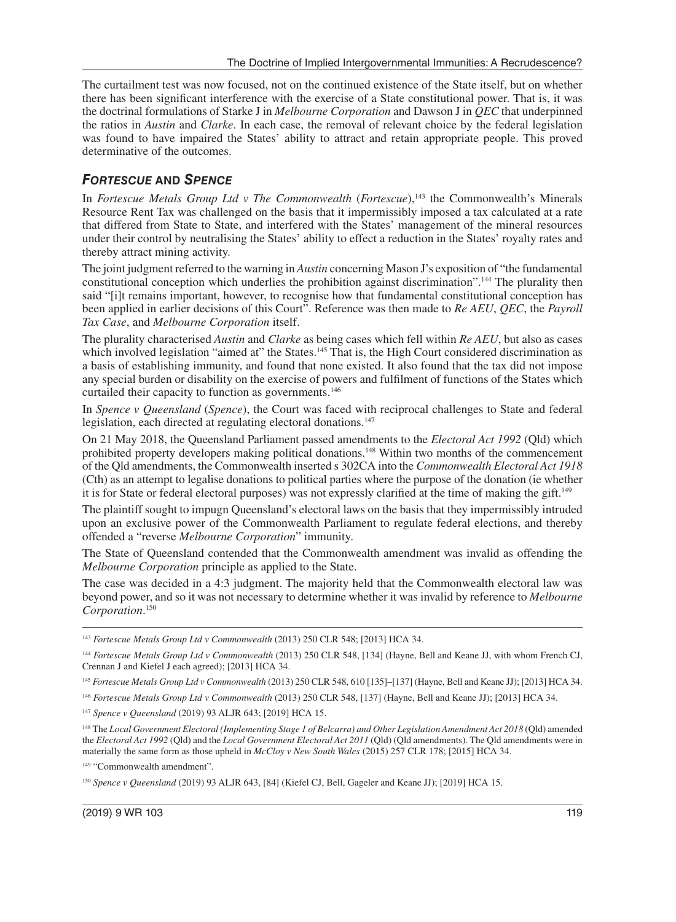The curtailment test was now focused, not on the continued existence of the State itself, but on whether there has been significant interference with the exercise of a State constitutional power. That is, it was the doctrinal formulations of Starke J in *Melbourne Corporation* and Dawson J in *QEC* that underpinned the ratios in *Austin* and *Clarke*. In each case, the removal of relevant choice by the federal legislation was found to have impaired the States' ability to attract and retain appropriate people. This proved determinative of the outcomes.

#### *FORTESCUE* **AND** *SPENCE*

In *Fortescue Metals Group Ltd v The Commonwealth* (*Fortescue*),<sup>143</sup> the Commonwealth's Minerals Resource Rent Tax was challenged on the basis that it impermissibly imposed a tax calculated at a rate that differed from State to State, and interfered with the States' management of the mineral resources under their control by neutralising the States' ability to effect a reduction in the States' royalty rates and thereby attract mining activity.

The joint judgment referred to the warning in *Austin* concerning Mason J's exposition of "the fundamental constitutional conception which underlies the prohibition against discrimination".144 The plurality then said "[i]t remains important, however, to recognise how that fundamental constitutional conception has been applied in earlier decisions of this Court". Reference was then made to *Re AEU*, *QEC*, the *Payroll Tax Case*, and *Melbourne Corporation* itself.

The plurality characterised *Austin* and *Clarke* as being cases which fell within *Re AEU*, but also as cases which involved legislation "aimed at" the States.<sup>145</sup> That is, the High Court considered discrimination as a basis of establishing immunity, and found that none existed. It also found that the tax did not impose any special burden or disability on the exercise of powers and fulfilment of functions of the States which curtailed their capacity to function as governments.<sup>146</sup>

In *Spence v Queensland* (*Spence*), the Court was faced with reciprocal challenges to State and federal legislation, each directed at regulating electoral donations.<sup>147</sup>

On 21 May 2018, the Queensland Parliament passed amendments to the *Electoral Act 1992* (Qld) which prohibited property developers making political donations.148 Within two months of the commencement of the Qld amendments, the Commonwealth inserted s 302CA into the *Commonwealth Electoral Act 1918* (Cth) as an attempt to legalise donations to political parties where the purpose of the donation (ie whether it is for State or federal electoral purposes) was not expressly clarified at the time of making the gift.149

The plaintiff sought to impugn Queensland's electoral laws on the basis that they impermissibly intruded upon an exclusive power of the Commonwealth Parliament to regulate federal elections, and thereby offended a "reverse *Melbourne Corporation*" immunity.

The State of Queensland contended that the Commonwealth amendment was invalid as offending the *Melbourne Corporation* principle as applied to the State.

The case was decided in a 4:3 judgment. The majority held that the Commonwealth electoral law was beyond power, and so it was not necessary to determine whether it was invalid by reference to *Melbourne Corporation*. 150

<sup>143</sup> *Fortescue Metals Group Ltd v Commonwealth* (2013) 250 CLR 548; [2013] HCA 34.

<sup>144</sup> *Fortescue Metals Group Ltd v Commonwealth* (2013) 250 CLR 548, [134] (Hayne, Bell and Keane JJ, with whom French CJ, Crennan J and Kiefel J each agreed); [2013] HCA 34.

<sup>145</sup> *Fortescue Metals Group Ltd v Commonwealth* (2013) 250 CLR 548, 610 [135]–[137] (Hayne, Bell and Keane JJ); [2013] HCA 34.

<sup>146</sup> *Fortescue Metals Group Ltd v Commonwealth* (2013) 250 CLR 548, [137] (Hayne, Bell and Keane JJ); [2013] HCA 34.

<sup>147</sup> *Spence v Queensland* (2019) 93 ALJR 643; [2019] HCA 15.

<sup>148</sup> The *Local Government Electoral (Implementing Stage 1 of Belcarra) and Other Legislation Amendment Act 2018* (Qld) amended the *Electoral Act 1992* (Qld) and the *Local Government Electoral Act 2011* (Qld) (Qld amendments). The Qld amendments were in materially the same form as those upheld in *McCloy v New South Wales* (2015) 257 CLR 178; [2015] HCA 34.

<sup>&</sup>lt;sup>149</sup> "Commonwealth amendment".

<sup>150</sup> *Spence v Queensland* (2019) 93 ALJR 643, [84] (Kiefel CJ, Bell, Gageler and Keane JJ); [2019] HCA 15.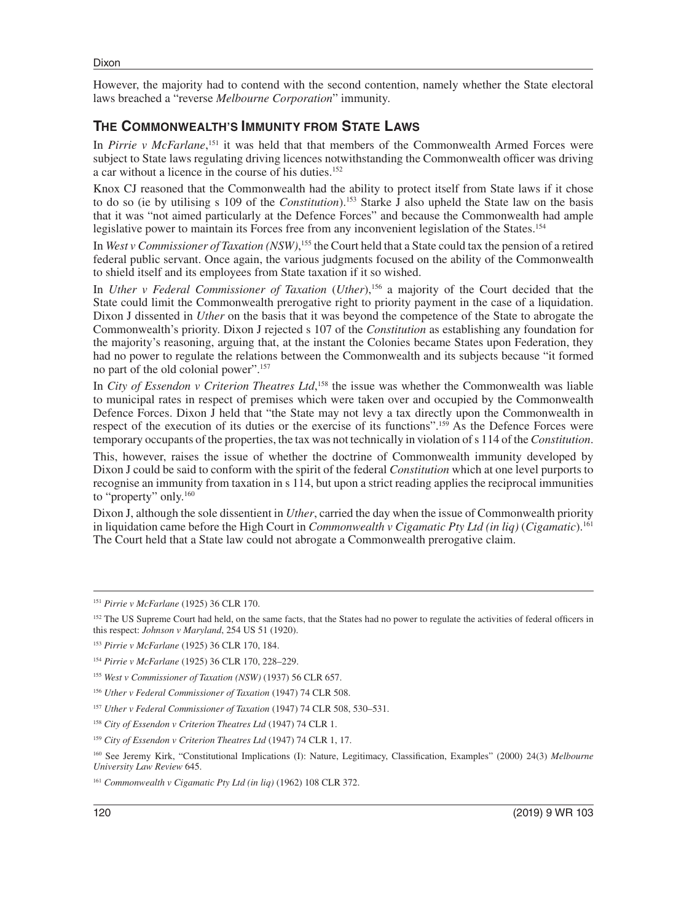However, the majority had to contend with the second contention, namely whether the State electoral laws breached a "reverse *Melbourne Corporation*" immunity.

#### **THE COMMONWEALTH'S IMMUNITY FROM STATE LAWS**

In *Pirrie v McFarlane*,<sup>151</sup> it was held that that members of the Commonwealth Armed Forces were subject to State laws regulating driving licences notwithstanding the Commonwealth officer was driving a car without a licence in the course of his duties.152

Knox CJ reasoned that the Commonwealth had the ability to protect itself from State laws if it chose to do so (ie by utilising s 109 of the *Constitution*).<sup>153</sup> Starke  $\hat{J}$  also upheld the State law on the basis that it was "not aimed particularly at the Defence Forces" and because the Commonwealth had ample legislative power to maintain its Forces free from any inconvenient legislation of the States.<sup>154</sup>

In *West v Commissioner of Taxation* (NSW),<sup>155</sup> the Court held that a State could tax the pension of a retired federal public servant. Once again, the various judgments focused on the ability of the Commonwealth to shield itself and its employees from State taxation if it so wished.

In *Uther v Federal Commissioner of Taxation* (*Uther*),<sup>156</sup> a majority of the Court decided that the State could limit the Commonwealth prerogative right to priority payment in the case of a liquidation. Dixon J dissented in *Uther* on the basis that it was beyond the competence of the State to abrogate the Commonwealth's priority. Dixon J rejected s 107 of the *Constitution* as establishing any foundation for the majority's reasoning, arguing that, at the instant the Colonies became States upon Federation, they had no power to regulate the relations between the Commonwealth and its subjects because "it formed no part of the old colonial power".157

In *City of Essendon v Criterion Theatres Ltd*,<sup>158</sup> the issue was whether the Commonwealth was liable to municipal rates in respect of premises which were taken over and occupied by the Commonwealth Defence Forces. Dixon J held that "the State may not levy a tax directly upon the Commonwealth in respect of the execution of its duties or the exercise of its functions".159 As the Defence Forces were temporary occupants of the properties, the tax was not technically in violation of s 114 of the *Constitution*.

This, however, raises the issue of whether the doctrine of Commonwealth immunity developed by Dixon J could be said to conform with the spirit of the federal *Constitution* which at one level purports to recognise an immunity from taxation in s 114, but upon a strict reading applies the reciprocal immunities to "property" only.160

Dixon J, although the sole dissentient in *Uther*, carried the day when the issue of Commonwealth priority in liquidation came before the High Court in *Commonwealth v Cigamatic Pty Ltd (in liq)* (*Cigamatic*).161 The Court held that a State law could not abrogate a Commonwealth prerogative claim.

<sup>151</sup> *Pirrie v McFarlane* (1925) 36 CLR 170.

<sup>&</sup>lt;sup>152</sup> The US Supreme Court had held, on the same facts, that the States had no power to regulate the activities of federal officers in this respect: *Johnson v Maryland*, 254 US 51 (1920).

<sup>153</sup> *Pirrie v McFarlane* (1925) 36 CLR 170, 184.

<sup>154</sup> *Pirrie v McFarlane* (1925) 36 CLR 170, 228–229.

<sup>155</sup> *West v Commissioner of Taxation (NSW)* (1937) 56 CLR 657.

<sup>156</sup> *Uther v Federal Commissioner of Taxation* (1947) 74 CLR 508.

<sup>157</sup> *Uther v Federal Commissioner of Taxation* (1947) 74 CLR 508, 530–531.

<sup>158</sup> *City of Essendon v Criterion Theatres Ltd* (1947) 74 CLR 1.

<sup>159</sup> *City of Essendon v Criterion Theatres Ltd* (1947) 74 CLR 1, 17.

<sup>160</sup> See Jeremy Kirk, "Constitutional Implications (I): Nature, Legitimacy, Classification, Examples" (2000) 24(3) *Melbourne University Law Review* 645.

<sup>161</sup> *Commonwealth v Cigamatic Pty Ltd (in liq)* (1962) 108 CLR 372.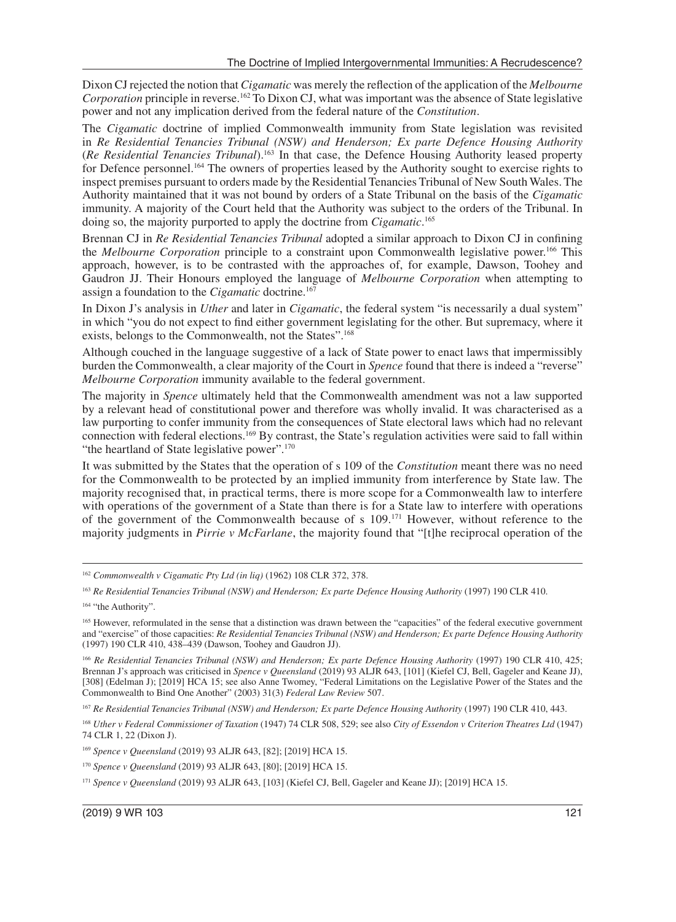Dixon CJ rejected the notion that *Cigamatic* was merely the reflection of the application of the *Melbourne Corporation* principle in reverse.<sup>162</sup> To Dixon CJ, what was important was the absence of State legislative power and not any implication derived from the federal nature of the *Constitution*.

The *Cigamatic* doctrine of implied Commonwealth immunity from State legislation was revisited in *Re Residential Tenancies Tribunal (NSW) and Henderson; Ex parte Defence Housing Authority* (*Re Residential Tenancies Tribunal*).163 In that case, the Defence Housing Authority leased property for Defence personnel.164 The owners of properties leased by the Authority sought to exercise rights to inspect premises pursuant to orders made by the Residential Tenancies Tribunal of New South Wales. The Authority maintained that it was not bound by orders of a State Tribunal on the basis of the *Cigamatic* immunity. A majority of the Court held that the Authority was subject to the orders of the Tribunal. In doing so, the majority purported to apply the doctrine from *Cigamatic*. 165

Brennan CJ in *Re Residential Tenancies Tribunal* adopted a similar approach to Dixon CJ in confining the *Melbourne Corporation* principle to a constraint upon Commonwealth legislative power.166 This approach, however, is to be contrasted with the approaches of, for example, Dawson, Toohey and Gaudron JJ. Their Honours employed the language of *Melbourne Corporation* when attempting to assign a foundation to the *Cigamatic* doctrine.167

In Dixon J's analysis in *Uther* and later in *Cigamatic*, the federal system "is necessarily a dual system" in which "you do not expect to find either government legislating for the other. But supremacy, where it exists, belongs to the Commonwealth, not the States".168

Although couched in the language suggestive of a lack of State power to enact laws that impermissibly burden the Commonwealth, a clear majority of the Court in *Spence* found that there is indeed a "reverse" *Melbourne Corporation* immunity available to the federal government.

The majority in *Spence* ultimately held that the Commonwealth amendment was not a law supported by a relevant head of constitutional power and therefore was wholly invalid. It was characterised as a law purporting to confer immunity from the consequences of State electoral laws which had no relevant connection with federal elections.169 By contrast, the State's regulation activities were said to fall within "the heartland of State legislative power".<sup>170</sup>

It was submitted by the States that the operation of s 109 of the *Constitution* meant there was no need for the Commonwealth to be protected by an implied immunity from interference by State law. The majority recognised that, in practical terms, there is more scope for a Commonwealth law to interfere with operations of the government of a State than there is for a State law to interfere with operations of the government of the Commonwealth because of s 109.171 However, without reference to the majority judgments in *Pirrie v McFarlane*, the majority found that "[t]he reciprocal operation of the

<sup>166</sup> Re Residential Tenancies Tribunal (NSW) and Henderson; Ex parte Defence Housing Authority (1997) 190 CLR 410, 425; Brennan J's approach was criticised in *Spence v Queensland* (2019) 93 ALJR 643, [101] (Kiefel CJ, Bell, Gageler and Keane JJ), [308] (Edelman J); [2019] HCA 15; see also Anne Twomey, "Federal Limitations on the Legislative Power of the States and the Commonwealth to Bind One Another" (2003) 31(3) *Federal Law Review* 507.

<sup>162</sup> *Commonwealth v Cigamatic Pty Ltd (in liq)* (1962) 108 CLR 372, 378.

<sup>163</sup> *Re Residential Tenancies Tribunal (NSW) and Henderson; Ex parte Defence Housing Authority* (1997) 190 CLR 410.

<sup>&</sup>lt;sup>164</sup> "the Authority".

<sup>165</sup> However, reformulated in the sense that a distinction was drawn between the "capacities" of the federal executive government and "exercise" of those capacities: *Re Residential Tenancies Tribunal (NSW) and Henderson; Ex parte Defence Housing Authority* (1997) 190 CLR 410, 438–439 (Dawson, Toohey and Gaudron JJ).

<sup>167</sup> *Re Residential Tenancies Tribunal (NSW) and Henderson; Ex parte Defence Housing Authority* (1997) 190 CLR 410, 443.

<sup>168</sup> *Uther v Federal Commissioner of Taxation* (1947) 74 CLR 508, 529; see also *City of Essendon v Criterion Theatres Ltd* (1947) 74 CLR 1, 22 (Dixon J).

<sup>169</sup> *Spence v Queensland* (2019) 93 ALJR 643, [82]; [2019] HCA 15.

<sup>170</sup> *Spence v Queensland* (2019) 93 ALJR 643, [80]; [2019] HCA 15.

<sup>171</sup> *Spence v Queensland* (2019) 93 ALJR 643, [103] (Kiefel CJ, Bell, Gageler and Keane JJ); [2019] HCA 15.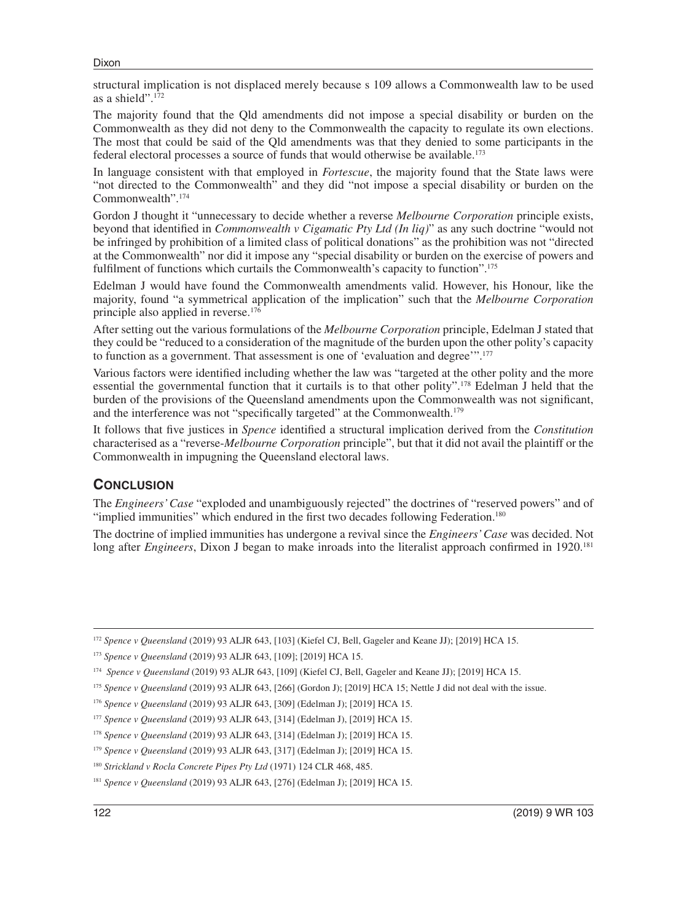Dixon

structural implication is not displaced merely because s 109 allows a Commonwealth law to be used as a shield".172

The majority found that the Qld amendments did not impose a special disability or burden on the Commonwealth as they did not deny to the Commonwealth the capacity to regulate its own elections. The most that could be said of the Qld amendments was that they denied to some participants in the federal electoral processes a source of funds that would otherwise be available.173

In language consistent with that employed in *Fortescue*, the majority found that the State laws were "not directed to the Commonwealth" and they did "not impose a special disability or burden on the Commonwealth".174

Gordon J thought it "unnecessary to decide whether a reverse *Melbourne Corporation* principle exists, beyond that identified in *Commonwealth v Cigamatic Pty Ltd (In liq)*" as any such doctrine "would not be infringed by prohibition of a limited class of political donations" as the prohibition was not "directed at the Commonwealth" nor did it impose any "special disability or burden on the exercise of powers and fulfilment of functions which curtails the Commonwealth's capacity to function".<sup>175</sup>

Edelman J would have found the Commonwealth amendments valid. However, his Honour, like the majority, found "a symmetrical application of the implication" such that the *Melbourne Corporation* principle also applied in reverse.<sup>176</sup>

After setting out the various formulations of the *Melbourne Corporation* principle, Edelman J stated that they could be "reduced to a consideration of the magnitude of the burden upon the other polity's capacity to function as a government. That assessment is one of 'evaluation and degree'".177

Various factors were identified including whether the law was "targeted at the other polity and the more essential the governmental function that it curtails is to that other polity".178 Edelman J held that the burden of the provisions of the Queensland amendments upon the Commonwealth was not significant, and the interference was not "specifically targeted" at the Commonwealth.<sup>179</sup>

It follows that five justices in *Spence* identified a structural implication derived from the *Constitution* characterised as a "reverse-*Melbourne Corporation* principle", but that it did not avail the plaintiff or the Commonwealth in impugning the Queensland electoral laws.

#### **CONCLUSION**

The *Engineers' Case* "exploded and unambiguously rejected" the doctrines of "reserved powers" and of "implied immunities" which endured in the first two decades following Federation.<sup>180</sup>

The doctrine of implied immunities has undergone a revival since the *Engineers' Case* was decided. Not long after *Engineers*, Dixon J began to make inroads into the literalist approach confirmed in 1920.<sup>181</sup>

<sup>172</sup> *Spence v Queensland* (2019) 93 ALJR 643, [103] (Kiefel CJ, Bell, Gageler and Keane JJ); [2019] HCA 15.

<sup>173</sup> *Spence v Queensland* (2019) 93 ALJR 643, [109]; [2019] HCA 15.

<sup>176</sup> *Spence v Queensland* (2019) 93 ALJR 643, [309] (Edelman J); [2019] HCA 15.

<sup>179</sup> *Spence v Queensland* (2019) 93 ALJR 643, [317] (Edelman J); [2019] HCA 15.

<sup>174</sup> *Spence v Queensland* (2019) 93 ALJR 643, [109] (Kiefel CJ, Bell, Gageler and Keane JJ); [2019] HCA 15.

<sup>175</sup> *Spence v Queensland* (2019) 93 ALJR 643, [266] (Gordon J); [2019] HCA 15; Nettle J did not deal with the issue.

<sup>177</sup> *Spence v Queensland* (2019) 93 ALJR 643, [314] (Edelman J), [2019] HCA 15.

<sup>178</sup> *Spence v Queensland* (2019) 93 ALJR 643, [314] (Edelman J); [2019] HCA 15.

<sup>180</sup> *Strickland v Rocla Concrete Pipes Pty Ltd* (1971) 124 CLR 468, 485.

<sup>181</sup> *Spence v Queensland* (2019) 93 ALJR 643, [276] (Edelman J); [2019] HCA 15.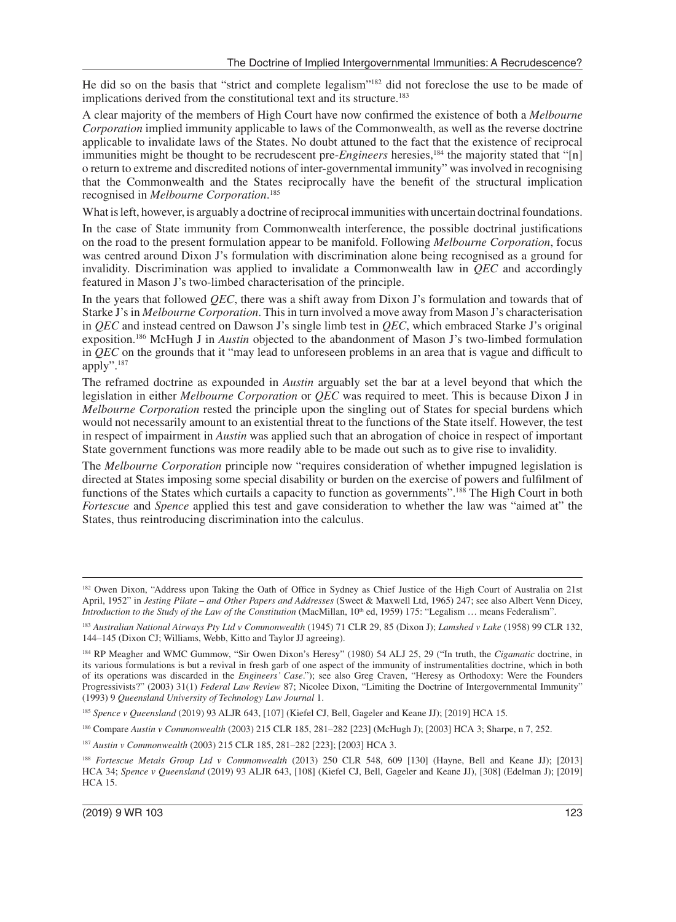He did so on the basis that "strict and complete legalism"182 did not foreclose the use to be made of implications derived from the constitutional text and its structure.<sup>183</sup>

A clear majority of the members of High Court have now confirmed the existence of both a *Melbourne Corporation* implied immunity applicable to laws of the Commonwealth, as well as the reverse doctrine applicable to invalidate laws of the States. No doubt attuned to the fact that the existence of reciprocal immunities might be thought to be recrudescent pre-*Engineers* heresies,<sup>184</sup> the majority stated that "[n] o return to extreme and discredited notions of inter-governmental immunity" was involved in recognising that the Commonwealth and the States reciprocally have the benefit of the structural implication recognised in *Melbourne Corporation*. 185

What is left, however, is arguably a doctrine of reciprocal immunities with uncertain doctrinal foundations.

In the case of State immunity from Commonwealth interference, the possible doctrinal justifications on the road to the present formulation appear to be manifold. Following *Melbourne Corporation*, focus was centred around Dixon J's formulation with discrimination alone being recognised as a ground for invalidity. Discrimination was applied to invalidate a Commonwealth law in *QEC* and accordingly featured in Mason J's two-limbed characterisation of the principle.

In the years that followed *QEC*, there was a shift away from Dixon J's formulation and towards that of Starke J's in *Melbourne Corporation*. This in turn involved a move away from Mason J's characterisation in *QEC* and instead centred on Dawson J's single limb test in *QEC*, which embraced Starke J's original exposition.186 McHugh J in *Austin* objected to the abandonment of Mason J's two-limbed formulation in *QEC* on the grounds that it "may lead to unforeseen problems in an area that is vague and difficult to apply".187

The reframed doctrine as expounded in *Austin* arguably set the bar at a level beyond that which the legislation in either *Melbourne Corporation* or *QEC* was required to meet. This is because Dixon J in *Melbourne Corporation* rested the principle upon the singling out of States for special burdens which would not necessarily amount to an existential threat to the functions of the State itself. However, the test in respect of impairment in *Austin* was applied such that an abrogation of choice in respect of important State government functions was more readily able to be made out such as to give rise to invalidity.

The *Melbourne Corporation* principle now "requires consideration of whether impugned legislation is directed at States imposing some special disability or burden on the exercise of powers and fulfilment of functions of the States which curtails a capacity to function as governments".188 The High Court in both *Fortescue* and *Spence* applied this test and gave consideration to whether the law was "aimed at" the States, thus reintroducing discrimination into the calculus.

<sup>182</sup> Owen Dixon, "Address upon Taking the Oath of Office in Sydney as Chief Justice of the High Court of Australia on 21st April, 1952" in *Jesting Pilate – and Other Papers and Addresses* (Sweet & Maxwell Ltd, 1965) 247; see also Albert Venn Dicey, *Introduction to the Study of the Law of the Constitution* (MacMillan, 10<sup>th</sup> ed, 1959) 175: "Legalism ... means Federalism".

<sup>183</sup> *Australian National Airways Pty Ltd v Commonwealth* (1945) 71 CLR 29, 85 (Dixon J); *Lamshed v Lake* (1958) 99 CLR 132, 144–145 (Dixon CJ; Williams, Webb, Kitto and Taylor JJ agreeing).

<sup>184</sup> RP Meagher and WMC Gummow, "Sir Owen Dixon's Heresy" (1980) 54 ALJ 25, 29 ("In truth, the *Cigamatic* doctrine, in its various formulations is but a revival in fresh garb of one aspect of the immunity of instrumentalities doctrine, which in both of its operations was discarded in the *Engineers' Case*."); see also Greg Craven, "Heresy as Orthodoxy: Were the Founders Progressivists?" (2003) 31(1) *Federal Law Review* 87; Nicolee Dixon, "Limiting the Doctrine of Intergovernmental Immunity" (1993) 9 *Queensland University of Technology Law Journal* 1.

<sup>185</sup> *Spence v Queensland* (2019) 93 ALJR 643, [107] (Kiefel CJ, Bell, Gageler and Keane JJ); [2019] HCA 15.

<sup>186</sup> Compare *Austin v Commonwealth* (2003) 215 CLR 185, 281–282 [223] (McHugh J); [2003] HCA 3; Sharpe, n 7, 252.

<sup>187</sup> *Austin v Commonwealth* (2003) 215 CLR 185, 281–282 [223]; [2003] HCA 3.

<sup>188</sup> *Fortescue Metals Group Ltd v Commonwealth* (2013) 250 CLR 548, 609 [130] (Hayne, Bell and Keane JJ); [2013] HCA 34; *Spence v Queensland* (2019) 93 ALJR 643, [108] (Kiefel CJ, Bell, Gageler and Keane JJ), [308] (Edelman J); [2019] HCA 15.